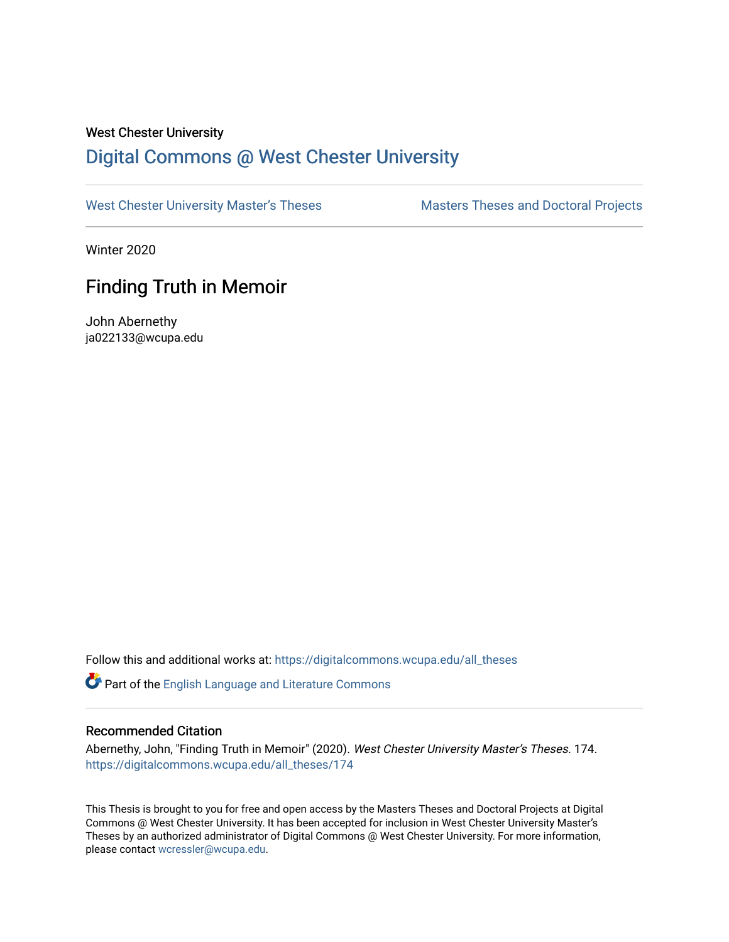### West Chester University

# [Digital Commons @ West Chester University](https://digitalcommons.wcupa.edu/)

[West Chester University Master's Theses](https://digitalcommons.wcupa.edu/all_theses) Masters Theses and Doctoral Projects

Winter 2020

# Finding Truth in Memoir

John Abernethy ja022133@wcupa.edu

Follow this and additional works at: [https://digitalcommons.wcupa.edu/all\\_theses](https://digitalcommons.wcupa.edu/all_theses?utm_source=digitalcommons.wcupa.edu%2Fall_theses%2F174&utm_medium=PDF&utm_campaign=PDFCoverPages) 

Part of the [English Language and Literature Commons](http://network.bepress.com/hgg/discipline/455?utm_source=digitalcommons.wcupa.edu%2Fall_theses%2F174&utm_medium=PDF&utm_campaign=PDFCoverPages)

#### Recommended Citation

Abernethy, John, "Finding Truth in Memoir" (2020). West Chester University Master's Theses. 174. [https://digitalcommons.wcupa.edu/all\\_theses/174](https://digitalcommons.wcupa.edu/all_theses/174?utm_source=digitalcommons.wcupa.edu%2Fall_theses%2F174&utm_medium=PDF&utm_campaign=PDFCoverPages) 

This Thesis is brought to you for free and open access by the Masters Theses and Doctoral Projects at Digital Commons @ West Chester University. It has been accepted for inclusion in West Chester University Master's Theses by an authorized administrator of Digital Commons @ West Chester University. For more information, please contact [wcressler@wcupa.edu](mailto:wcressler@wcupa.edu).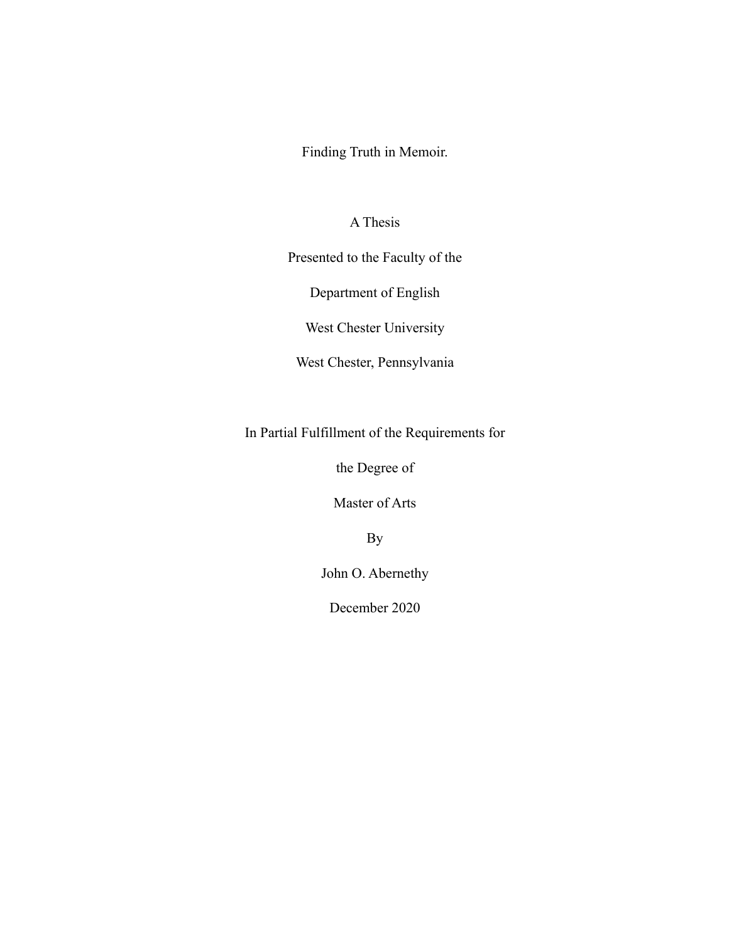Finding Truth in Memoir.

## A Thesis

Presented to the Faculty of the

Department of English

West Chester University

West Chester, Pennsylvania

In Partial Fulfillment of the Requirements for

the Degree of

Master of Arts

By

John O. Abernethy

December 2020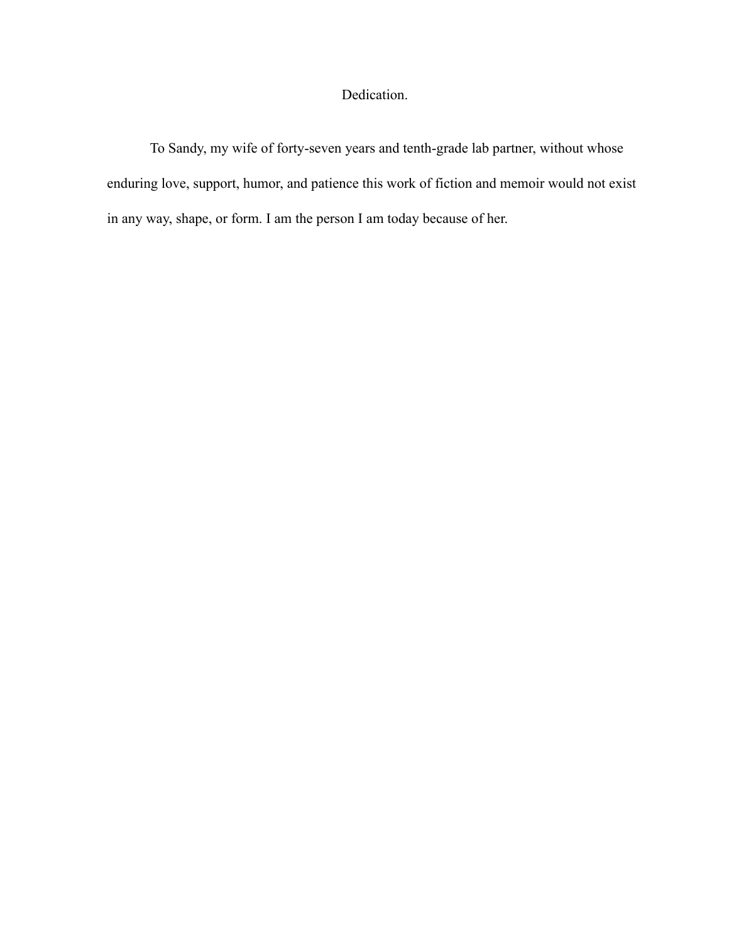## Dedication.

To Sandy, my wife of forty-seven years and tenth-grade lab partner, without whose enduring love, support, humor, and patience this work of fiction and memoir would not exist in any way, shape, or form. I am the person I am today because of her.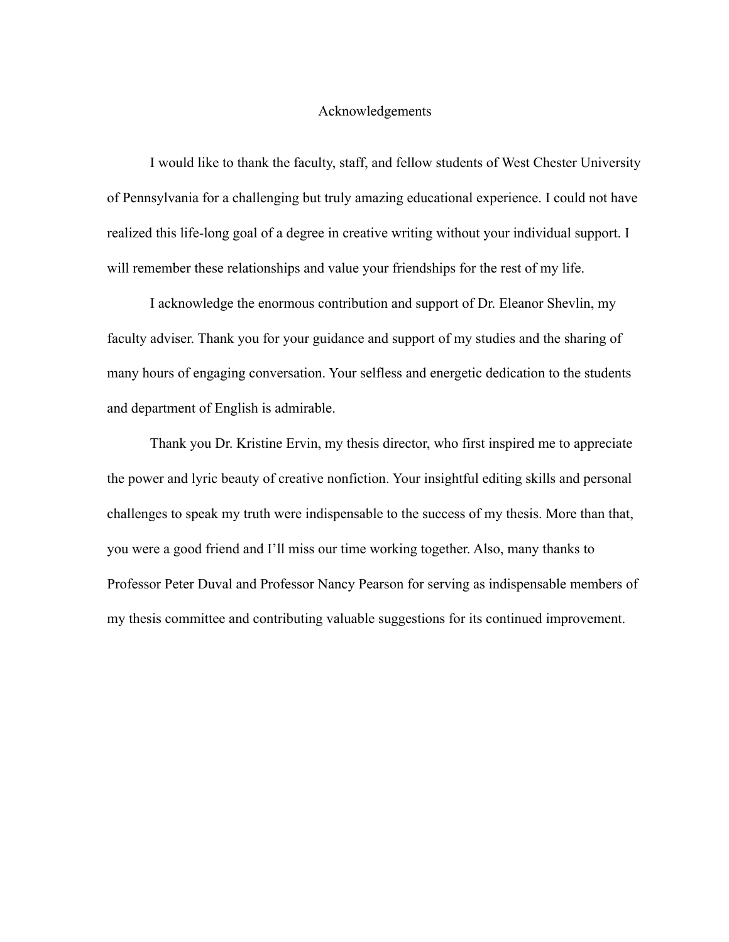## Acknowledgements

I would like to thank the faculty, staff, and fellow students of West Chester University of Pennsylvania for a challenging but truly amazing educational experience. I could not have realized this life-long goal of a degree in creative writing without your individual support. I will remember these relationships and value your friendships for the rest of my life.

I acknowledge the enormous contribution and support of Dr. Eleanor Shevlin, my faculty adviser. Thank you for your guidance and support of my studies and the sharing of many hours of engaging conversation. Your selfless and energetic dedication to the students and department of English is admirable.

Thank you Dr. Kristine Ervin, my thesis director, who first inspired me to appreciate the power and lyric beauty of creative nonfiction. Your insightful editing skills and personal challenges to speak my truth were indispensable to the success of my thesis. More than that, you were a good friend and I'll miss our time working together. Also, many thanks to Professor Peter Duval and Professor Nancy Pearson for serving as indispensable members of my thesis committee and contributing valuable suggestions for its continued improvement.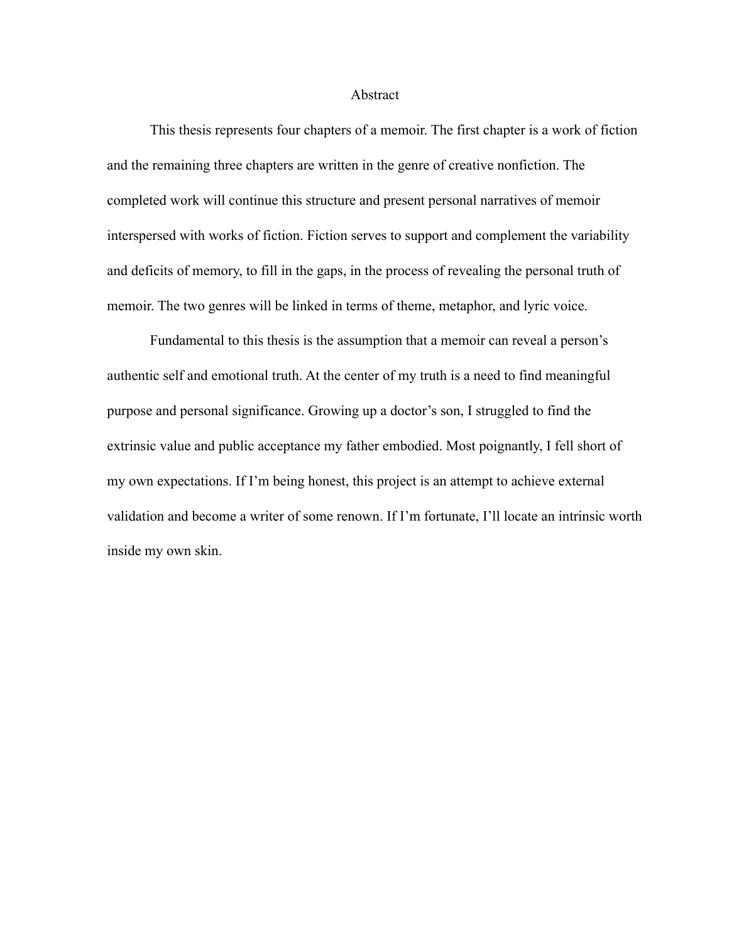#### Abstract

This thesis represents four chapters of a memoir. The first chapter is a work of fiction and the remaining three chapters are written in the genre of creative nonfiction. The completed work will continue this structure and present personal narratives of memoir interspersed with works of fiction. Fiction serves to support and complement the variability and deficits of memory, to fill in the gaps, in the process of revealing the personal truth of memoir. The two genres will be linked in terms of theme, metaphor, and lyric voice.

Fundamental to this thesis is the assumption that a memoir can reveal a person's authentic self and emotional truth. At the center of my truth is a need to find meaningful purpose and personal significance. Growing up a doctor's son, I struggled to find the extrinsic value and public acceptance my father embodied. Most poignantly, I fell short of my own expectations. If I'm being honest, this project is an attempt to achieve external validation and become a writer of some renown. If I'm fortunate, I'll locate an intrinsic worth inside my own skin.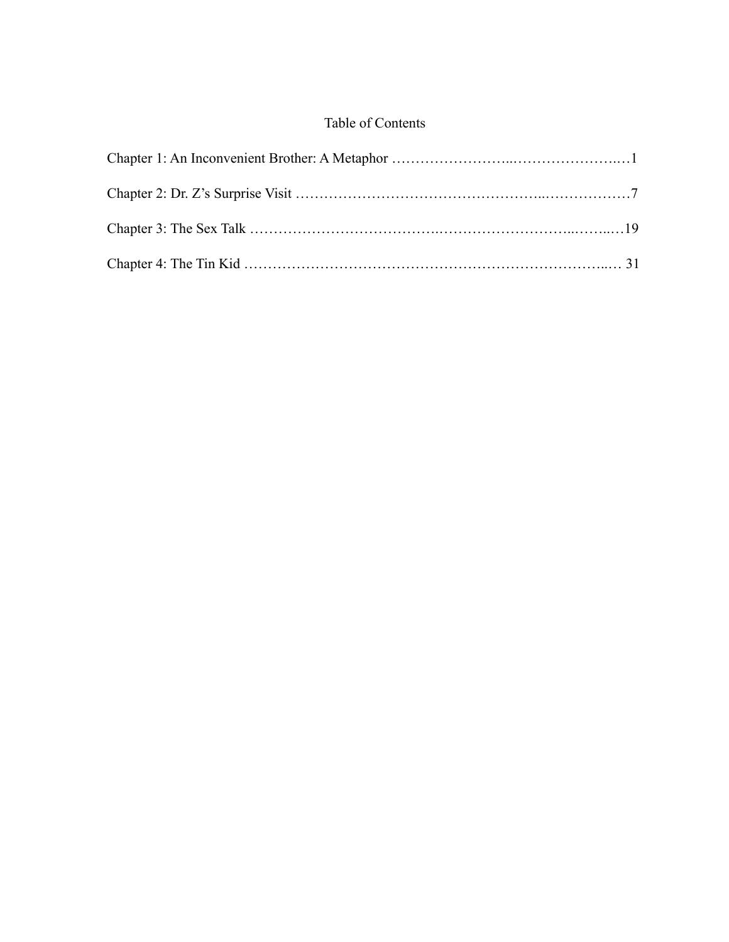## Table of Contents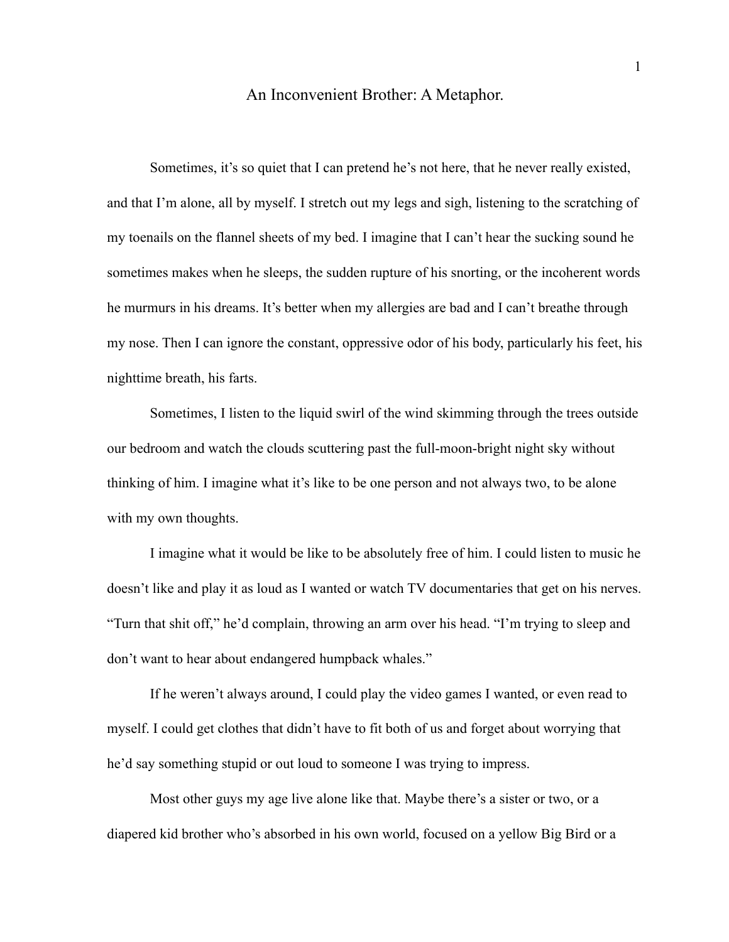### An Inconvenient Brother: A Metaphor.

Sometimes, it's so quiet that I can pretend he's not here, that he never really existed, and that I'm alone, all by myself. I stretch out my legs and sigh, listening to the scratching of my toenails on the flannel sheets of my bed. I imagine that I can't hear the sucking sound he sometimes makes when he sleeps, the sudden rupture of his snorting, or the incoherent words he murmurs in his dreams. It's better when my allergies are bad and I can't breathe through my nose. Then I can ignore the constant, oppressive odor of his body, particularly his feet, his nighttime breath, his farts.

Sometimes, I listen to the liquid swirl of the wind skimming through the trees outside our bedroom and watch the clouds scuttering past the full-moon-bright night sky without thinking of him. I imagine what it's like to be one person and not always two, to be alone with my own thoughts.

I imagine what it would be like to be absolutely free of him. I could listen to music he doesn't like and play it as loud as I wanted or watch TV documentaries that get on his nerves. "Turn that shit off," he'd complain, throwing an arm over his head. "I'm trying to sleep and don't want to hear about endangered humpback whales."

If he weren't always around, I could play the video games I wanted, or even read to myself. I could get clothes that didn't have to fit both of us and forget about worrying that he'd say something stupid or out loud to someone I was trying to impress.

Most other guys my age live alone like that. Maybe there's a sister or two, or a diapered kid brother who's absorbed in his own world, focused on a yellow Big Bird or a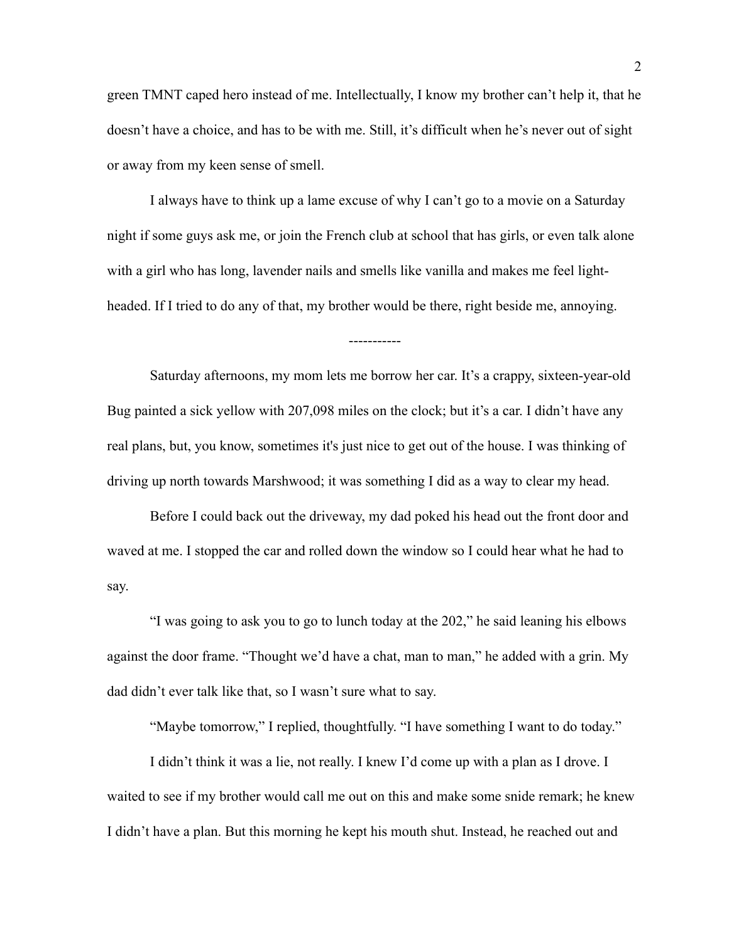green TMNT caped hero instead of me. Intellectually, I know my brother can't help it, that he doesn't have a choice, and has to be with me. Still, it's difficult when he's never out of sight or away from my keen sense of smell.

I always have to think up a lame excuse of why I can't go to a movie on a Saturday night if some guys ask me, or join the French club at school that has girls, or even talk alone with a girl who has long, lavender nails and smells like vanilla and makes me feel lightheaded. If I tried to do any of that, my brother would be there, right beside me, annoying.

-----------

Saturday afternoons, my mom lets me borrow her car. It's a crappy, sixteen-year-old Bug painted a sick yellow with 207,098 miles on the clock; but it's a car. I didn't have any real plans, but, you know, sometimes it's just nice to get out of the house. I was thinking of driving up north towards Marshwood; it was something I did as a way to clear my head.

Before I could back out the driveway, my dad poked his head out the front door and waved at me. I stopped the car and rolled down the window so I could hear what he had to say.

"I was going to ask you to go to lunch today at the 202," he said leaning his elbows against the door frame. "Thought we'd have a chat, man to man," he added with a grin. My dad didn't ever talk like that, so I wasn't sure what to say.

"Maybe tomorrow," I replied, thoughtfully. "I have something I want to do today."

I didn't think it was a lie, not really. I knew I'd come up with a plan as I drove. I waited to see if my brother would call me out on this and make some snide remark; he knew I didn't have a plan. But this morning he kept his mouth shut. Instead, he reached out and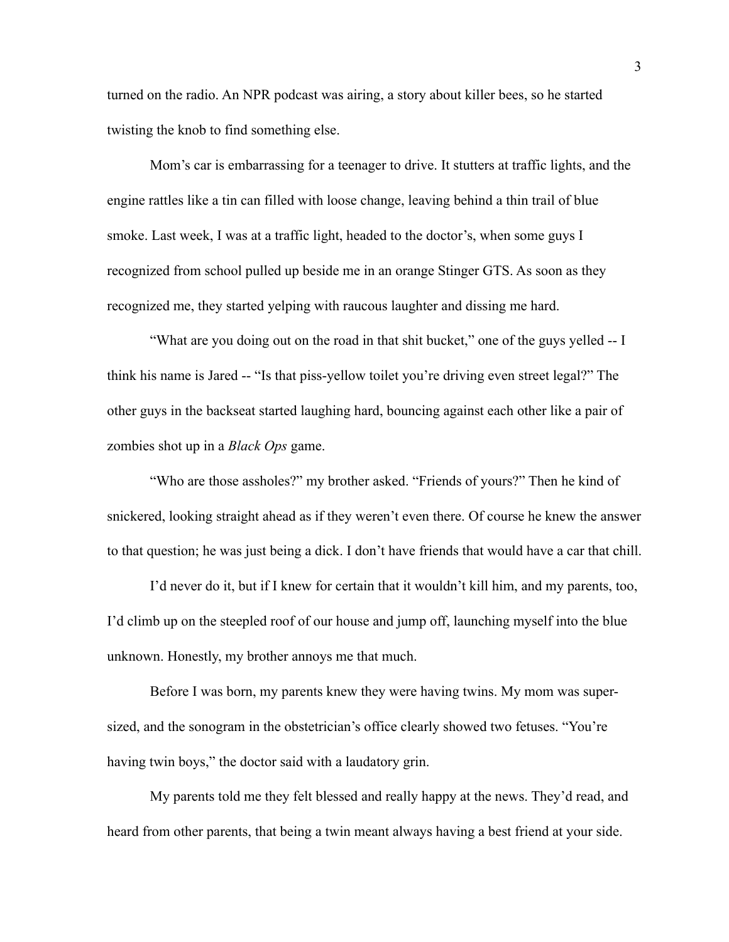turned on the radio. An NPR podcast was airing, a story about killer bees, so he started twisting the knob to find something else.

Mom's car is embarrassing for a teenager to drive. It stutters at traffic lights, and the engine rattles like a tin can filled with loose change, leaving behind a thin trail of blue smoke. Last week, I was at a traffic light, headed to the doctor's, when some guys I recognized from school pulled up beside me in an orange Stinger GTS. As soon as they recognized me, they started yelping with raucous laughter and dissing me hard.

"What are you doing out on the road in that shit bucket," one of the guys yelled -- I think his name is Jared -- "Is that piss-yellow toilet you're driving even street legal?" The other guys in the backseat started laughing hard, bouncing against each other like a pair of zombies shot up in a *Black Ops* game.

"Who are those assholes?" my brother asked. "Friends of yours?" Then he kind of snickered, looking straight ahead as if they weren't even there. Of course he knew the answer to that question; he was just being a dick. I don't have friends that would have a car that chill.

I'd never do it, but if I knew for certain that it wouldn't kill him, and my parents, too, I'd climb up on the steepled roof of our house and jump off, launching myself into the blue unknown. Honestly, my brother annoys me that much.

Before I was born, my parents knew they were having twins. My mom was supersized, and the sonogram in the obstetrician's office clearly showed two fetuses. "You're having twin boys," the doctor said with a laudatory grin.

My parents told me they felt blessed and really happy at the news. They'd read, and heard from other parents, that being a twin meant always having a best friend at your side.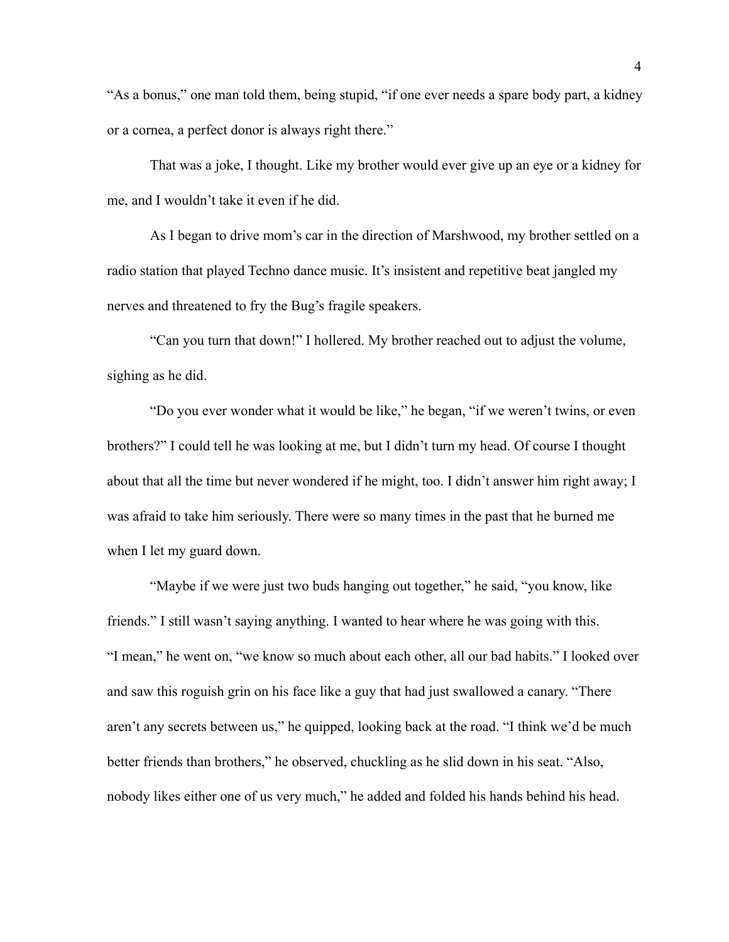"As a bonus," one man told them, being stupid, "if one ever needs a spare body part, a kidney or a cornea, a perfect donor is always right there."

That was a joke, I thought. Like my brother would ever give up an eye or a kidney for me, and I wouldn't take it even if he did.

As I began to drive mom's car in the direction of Marshwood, my brother settled on a radio station that played Techno dance music. It's insistent and repetitive beat jangled my nerves and threatened to fry the Bug's fragile speakers.

"Can you turn that down!" I hollered. My brother reached out to adjust the volume, sighing as he did.

"Do you ever wonder what it would be like," he began, "if we weren't twins, or even brothers?" I could tell he was looking at me, but I didn't turn my head. Of course I thought about that all the time but never wondered if he might, too. I didn't answer him right away; I was afraid to take him seriously. There were so many times in the past that he burned me when I let my guard down.

"Maybe if we were just two buds hanging out together," he said, "you know, like friends." I still wasn't saying anything. I wanted to hear where he was going with this. "I mean," he went on, "we know so much about each other, all our bad habits." I looked over and saw this roguish grin on his face like a guy that had just swallowed a canary. "There aren't any secrets between us," he quipped, looking back at the road. "I think we'd be much better friends than brothers," he observed, chuckling as he slid down in his seat. "Also, nobody likes either one of us very much," he added and folded his hands behind his head.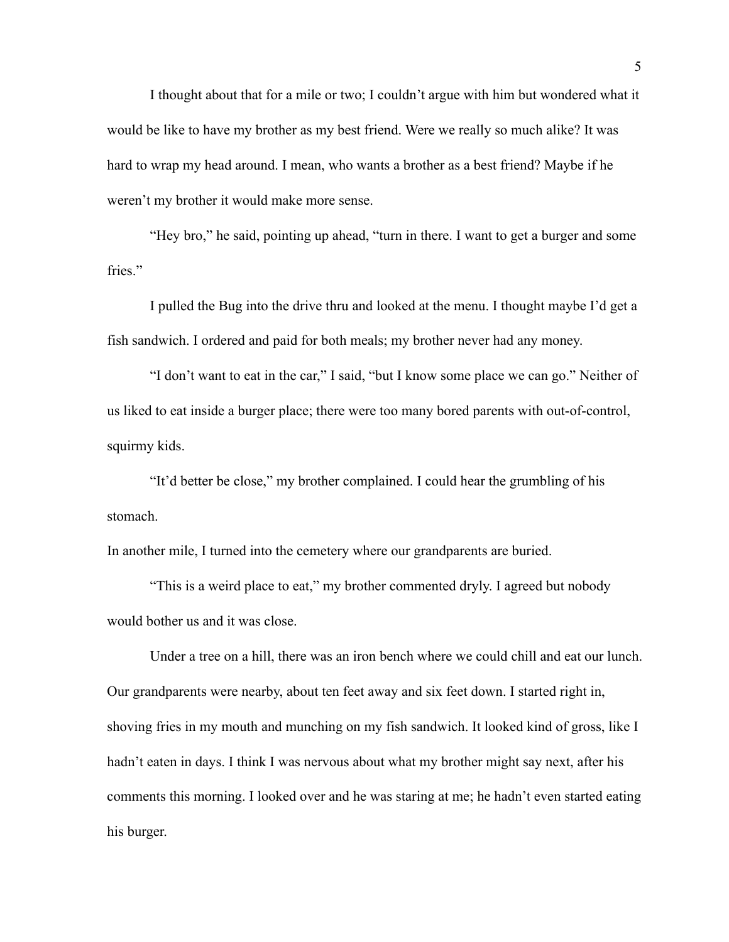I thought about that for a mile or two; I couldn't argue with him but wondered what it would be like to have my brother as my best friend. Were we really so much alike? It was hard to wrap my head around. I mean, who wants a brother as a best friend? Maybe if he weren't my brother it would make more sense.

"Hey bro," he said, pointing up ahead, "turn in there. I want to get a burger and some fries."

I pulled the Bug into the drive thru and looked at the menu. I thought maybe I'd get a fish sandwich. I ordered and paid for both meals; my brother never had any money.

"I don't want to eat in the car," I said, "but I know some place we can go." Neither of us liked to eat inside a burger place; there were too many bored parents with out-of-control, squirmy kids.

"It'd better be close," my brother complained. I could hear the grumbling of his stomach.

In another mile, I turned into the cemetery where our grandparents are buried.

"This is a weird place to eat," my brother commented dryly. I agreed but nobody would bother us and it was close.

Under a tree on a hill, there was an iron bench where we could chill and eat our lunch. Our grandparents were nearby, about ten feet away and six feet down. I started right in, shoving fries in my mouth and munching on my fish sandwich. It looked kind of gross, like I hadn't eaten in days. I think I was nervous about what my brother might say next, after his comments this morning. I looked over and he was staring at me; he hadn't even started eating his burger.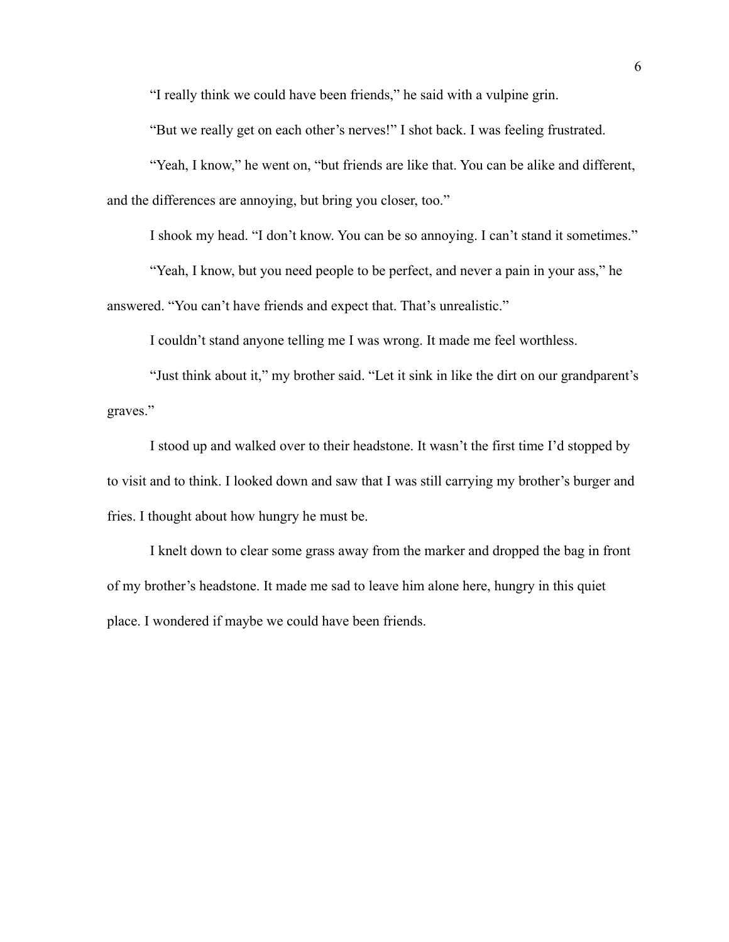"I really think we could have been friends," he said with a vulpine grin.

"But we really get on each other's nerves!" I shot back. I was feeling frustrated.

"Yeah, I know," he went on, "but friends are like that. You can be alike and different, and the differences are annoying, but bring you closer, too."

I shook my head. "I don't know. You can be so annoying. I can't stand it sometimes."

"Yeah, I know, but you need people to be perfect, and never a pain in your ass," he

answered. "You can't have friends and expect that. That's unrealistic."

I couldn't stand anyone telling me I was wrong. It made me feel worthless.

"Just think about it," my brother said. "Let it sink in like the dirt on our grandparent's graves."

I stood up and walked over to their headstone. It wasn't the first time I'd stopped by to visit and to think. I looked down and saw that I was still carrying my brother's burger and fries. I thought about how hungry he must be.

I knelt down to clear some grass away from the marker and dropped the bag in front of my brother's headstone. It made me sad to leave him alone here, hungry in this quiet place. I wondered if maybe we could have been friends.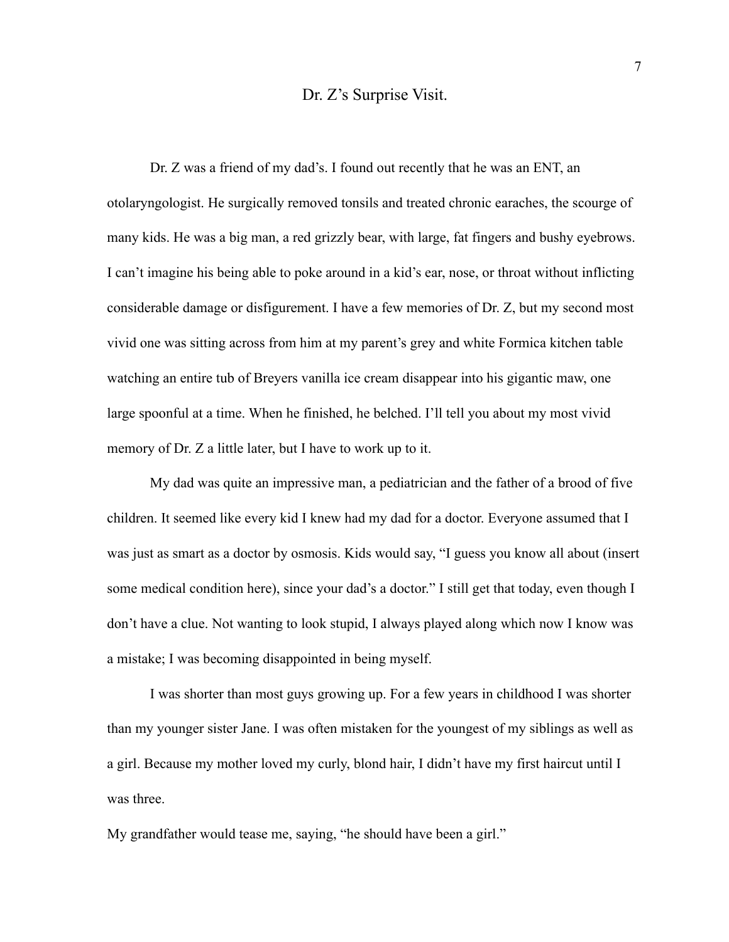### Dr. Z's Surprise Visit.

Dr. Z was a friend of my dad's. I found out recently that he was an ENT, an otolaryngologist. He surgically removed tonsils and treated chronic earaches, the scourge of many kids. He was a big man, a red grizzly bear, with large, fat fingers and bushy eyebrows. I can't imagine his being able to poke around in a kid's ear, nose, or throat without inflicting considerable damage or disfigurement. I have a few memories of Dr. Z, but my second most vivid one was sitting across from him at my parent's grey and white Formica kitchen table watching an entire tub of Breyers vanilla ice cream disappear into his gigantic maw, one large spoonful at a time. When he finished, he belched. I'll tell you about my most vivid memory of Dr. Z a little later, but I have to work up to it.

My dad was quite an impressive man, a pediatrician and the father of a brood of five children. It seemed like every kid I knew had my dad for a doctor. Everyone assumed that I was just as smart as a doctor by osmosis. Kids would say, "I guess you know all about (insert some medical condition here), since your dad's a doctor." I still get that today, even though I don't have a clue. Not wanting to look stupid, I always played along which now I know was a mistake; I was becoming disappointed in being myself.

I was shorter than most guys growing up. For a few years in childhood I was shorter than my younger sister Jane. I was often mistaken for the youngest of my siblings as well as a girl. Because my mother loved my curly, blond hair, I didn't have my first haircut until I was three.

My grandfather would tease me, saying, "he should have been a girl."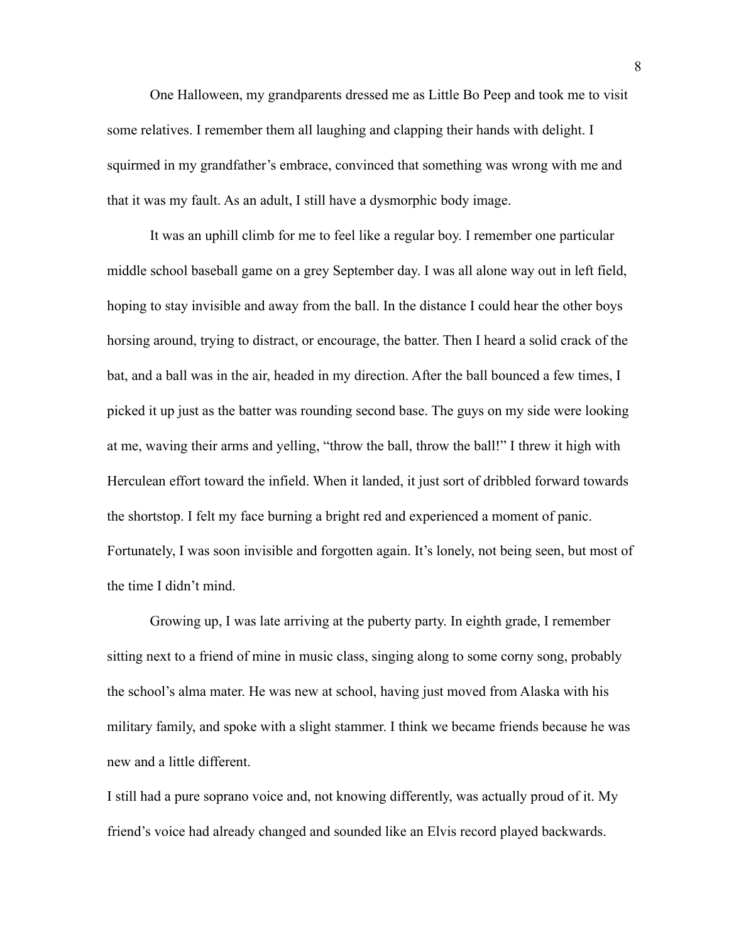One Halloween, my grandparents dressed me as Little Bo Peep and took me to visit some relatives. I remember them all laughing and clapping their hands with delight. I squirmed in my grandfather's embrace, convinced that something was wrong with me and that it was my fault. As an adult, I still have a dysmorphic body image.

It was an uphill climb for me to feel like a regular boy. I remember one particular middle school baseball game on a grey September day. I was all alone way out in left field, hoping to stay invisible and away from the ball. In the distance I could hear the other boys horsing around, trying to distract, or encourage, the batter. Then I heard a solid crack of the bat, and a ball was in the air, headed in my direction. After the ball bounced a few times, I picked it up just as the batter was rounding second base. The guys on my side were looking at me, waving their arms and yelling, "throw the ball, throw the ball!" I threw it high with Herculean effort toward the infield. When it landed, it just sort of dribbled forward towards the shortstop. I felt my face burning a bright red and experienced a moment of panic. Fortunately, I was soon invisible and forgotten again. It's lonely, not being seen, but most of the time I didn't mind.

Growing up, I was late arriving at the puberty party. In eighth grade, I remember sitting next to a friend of mine in music class, singing along to some corny song, probably the school's alma mater. He was new at school, having just moved from Alaska with his military family, and spoke with a slight stammer. I think we became friends because he was new and a little different.

I still had a pure soprano voice and, not knowing differently, was actually proud of it. My friend's voice had already changed and sounded like an Elvis record played backwards.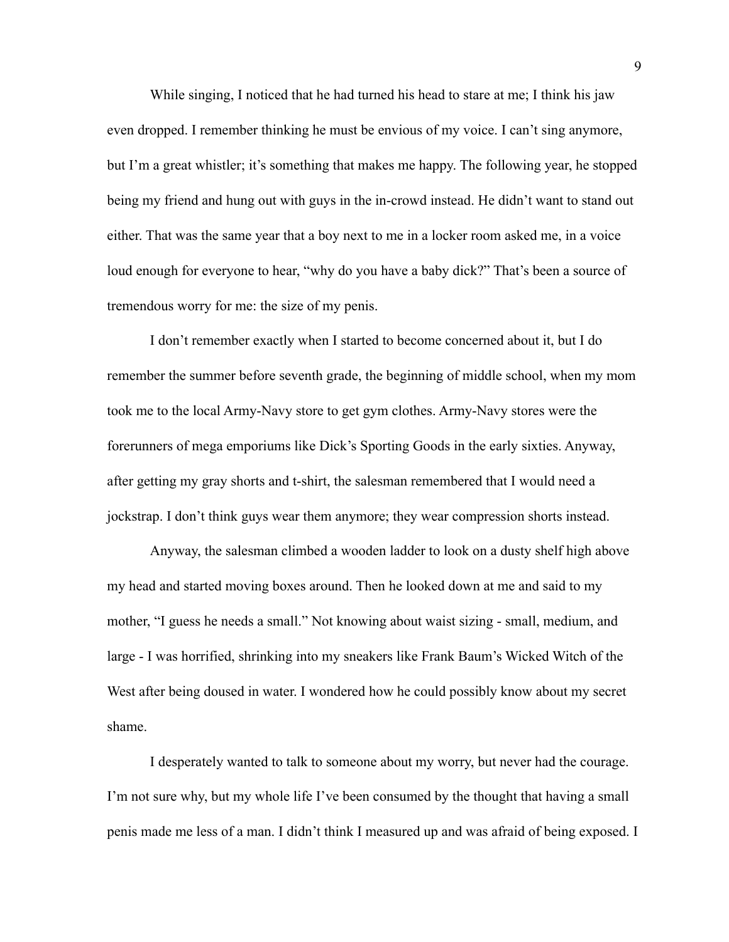While singing, I noticed that he had turned his head to stare at me; I think his jaw even dropped. I remember thinking he must be envious of my voice. I can't sing anymore, but I'm a great whistler; it's something that makes me happy. The following year, he stopped being my friend and hung out with guys in the in-crowd instead. He didn't want to stand out either. That was the same year that a boy next to me in a locker room asked me, in a voice loud enough for everyone to hear, "why do you have a baby dick?" That's been a source of tremendous worry for me: the size of my penis.

I don't remember exactly when I started to become concerned about it, but I do remember the summer before seventh grade, the beginning of middle school, when my mom took me to the local Army-Navy store to get gym clothes. Army-Navy stores were the forerunners of mega emporiums like Dick's Sporting Goods in the early sixties. Anyway, after getting my gray shorts and t-shirt, the salesman remembered that I would need a jockstrap. I don't think guys wear them anymore; they wear compression shorts instead.

Anyway, the salesman climbed a wooden ladder to look on a dusty shelf high above my head and started moving boxes around. Then he looked down at me and said to my mother, "I guess he needs a small." Not knowing about waist sizing - small, medium, and large - I was horrified, shrinking into my sneakers like Frank Baum's Wicked Witch of the West after being doused in water. I wondered how he could possibly know about my secret shame.

I desperately wanted to talk to someone about my worry, but never had the courage. I'm not sure why, but my whole life I've been consumed by the thought that having a small penis made me less of a man. I didn't think I measured up and was afraid of being exposed. I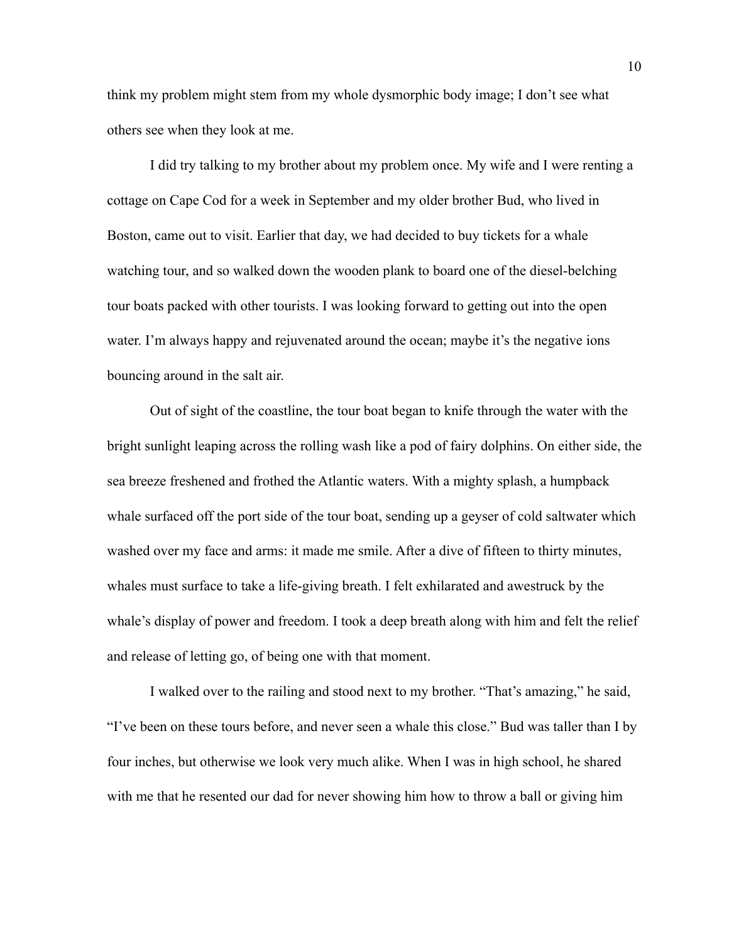think my problem might stem from my whole dysmorphic body image; I don't see what others see when they look at me.

I did try talking to my brother about my problem once. My wife and I were renting a cottage on Cape Cod for a week in September and my older brother Bud, who lived in Boston, came out to visit. Earlier that day, we had decided to buy tickets for a whale watching tour, and so walked down the wooden plank to board one of the diesel-belching tour boats packed with other tourists. I was looking forward to getting out into the open water. I'm always happy and rejuvenated around the ocean; maybe it's the negative ions bouncing around in the salt air.

Out of sight of the coastline, the tour boat began to knife through the water with the bright sunlight leaping across the rolling wash like a pod of fairy dolphins. On either side, the sea breeze freshened and frothed the Atlantic waters. With a mighty splash, a humpback whale surfaced off the port side of the tour boat, sending up a geyser of cold saltwater which washed over my face and arms: it made me smile. After a dive of fifteen to thirty minutes, whales must surface to take a life-giving breath. I felt exhilarated and awestruck by the whale's display of power and freedom. I took a deep breath along with him and felt the relief and release of letting go, of being one with that moment.

I walked over to the railing and stood next to my brother. "That's amazing," he said, "I've been on these tours before, and never seen a whale this close." Bud was taller than I by four inches, but otherwise we look very much alike. When I was in high school, he shared with me that he resented our dad for never showing him how to throw a ball or giving him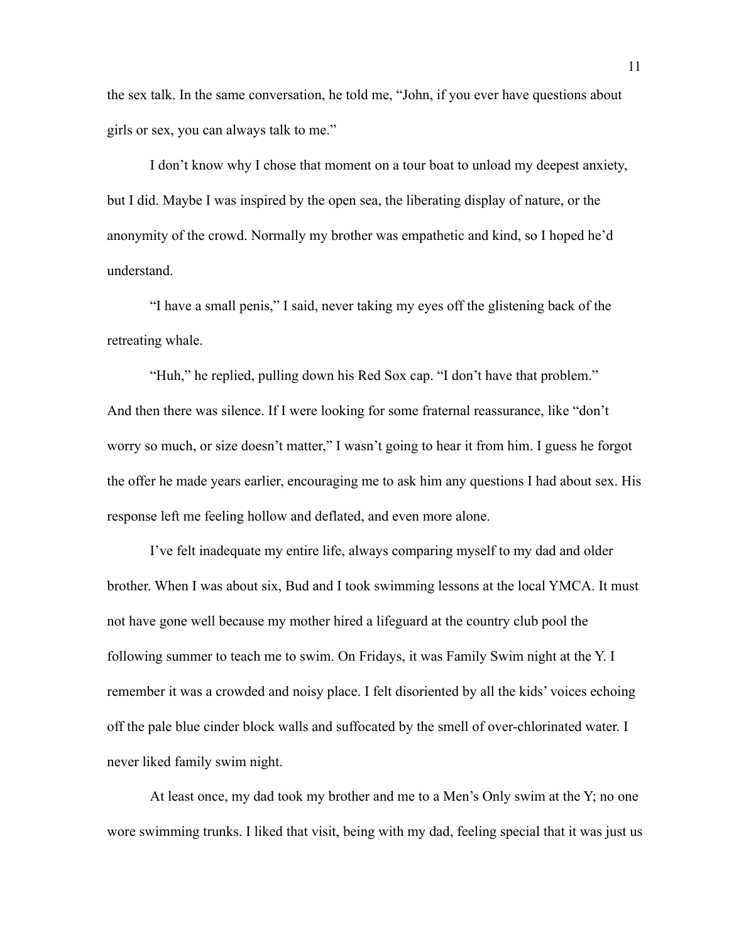the sex talk. In the same conversation, he told me, "John, if you ever have questions about girls or sex, you can always talk to me."

I don't know why I chose that moment on a tour boat to unload my deepest anxiety, but I did. Maybe I was inspired by the open sea, the liberating display of nature, or the anonymity of the crowd. Normally my brother was empathetic and kind, so I hoped he'd understand.

"I have a small penis," I said, never taking my eyes off the glistening back of the retreating whale.

"Huh," he replied, pulling down his Red Sox cap. "I don't have that problem." And then there was silence. If I were looking for some fraternal reassurance, like "don't worry so much, or size doesn't matter," I wasn't going to hear it from him. I guess he forgot the offer he made years earlier, encouraging me to ask him any questions I had about sex. His response left me feeling hollow and deflated, and even more alone.

I've felt inadequate my entire life, always comparing myself to my dad and older brother. When I was about six, Bud and I took swimming lessons at the local YMCA. It must not have gone well because my mother hired a lifeguard at the country club pool the following summer to teach me to swim. On Fridays, it was Family Swim night at the Y. I remember it was a crowded and noisy place. I felt disoriented by all the kids' voices echoing off the pale blue cinder block walls and suffocated by the smell of over-chlorinated water. I never liked family swim night.

At least once, my dad took my brother and me to a Men's Only swim at the Y; no one wore swimming trunks. I liked that visit, being with my dad, feeling special that it was just us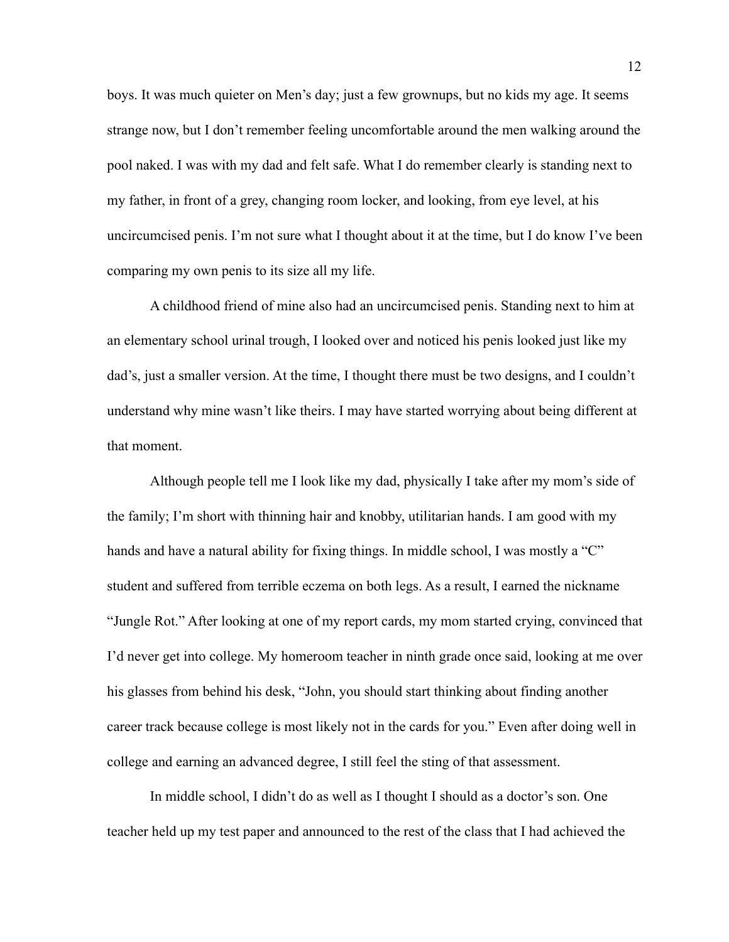boys. It was much quieter on Men's day; just a few grownups, but no kids my age. It seems strange now, but I don't remember feeling uncomfortable around the men walking around the pool naked. I was with my dad and felt safe. What I do remember clearly is standing next to my father, in front of a grey, changing room locker, and looking, from eye level, at his uncircumcised penis. I'm not sure what I thought about it at the time, but I do know I've been comparing my own penis to its size all my life.

A childhood friend of mine also had an uncircumcised penis. Standing next to him at an elementary school urinal trough, I looked over and noticed his penis looked just like my dad's, just a smaller version. At the time, I thought there must be two designs, and I couldn't understand why mine wasn't like theirs. I may have started worrying about being different at that moment.

Although people tell me I look like my dad, physically I take after my mom's side of the family; I'm short with thinning hair and knobby, utilitarian hands. I am good with my hands and have a natural ability for fixing things. In middle school, I was mostly a "C" student and suffered from terrible eczema on both legs. As a result, I earned the nickname "Jungle Rot." After looking at one of my report cards, my mom started crying, convinced that I'd never get into college. My homeroom teacher in ninth grade once said, looking at me over his glasses from behind his desk, "John, you should start thinking about finding another career track because college is most likely not in the cards for you." Even after doing well in college and earning an advanced degree, I still feel the sting of that assessment.

In middle school, I didn't do as well as I thought I should as a doctor's son. One teacher held up my test paper and announced to the rest of the class that I had achieved the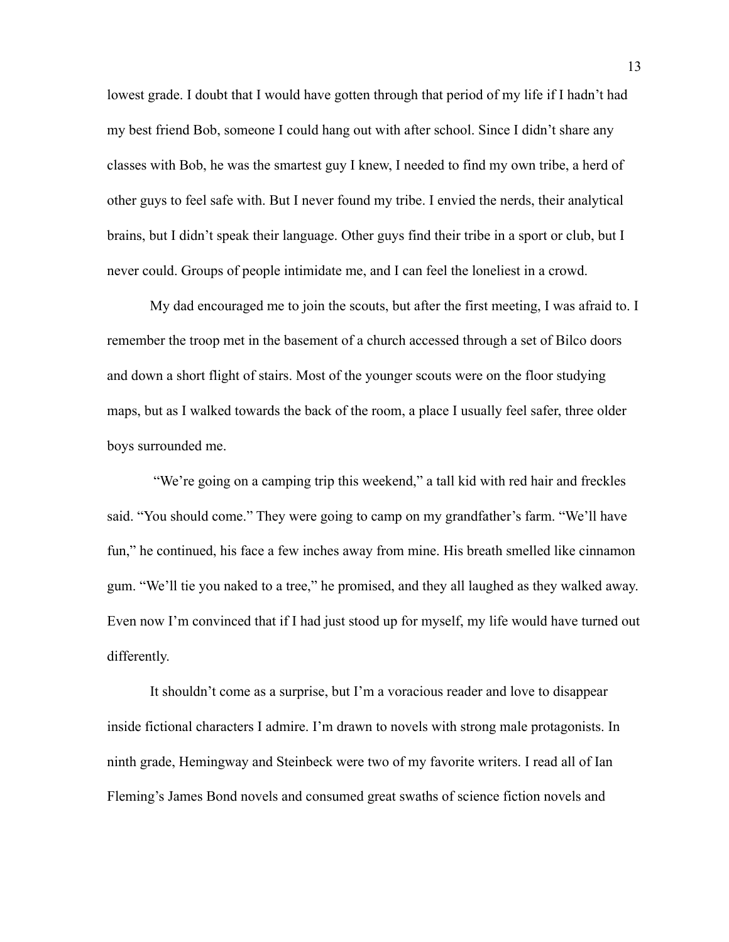lowest grade. I doubt that I would have gotten through that period of my life if I hadn't had my best friend Bob, someone I could hang out with after school. Since I didn't share any classes with Bob, he was the smartest guy I knew, I needed to find my own tribe, a herd of other guys to feel safe with. But I never found my tribe. I envied the nerds, their analytical brains, but I didn't speak their language. Other guys find their tribe in a sport or club, but I never could. Groups of people intimidate me, and I can feel the loneliest in a crowd.

My dad encouraged me to join the scouts, but after the first meeting, I was afraid to. I remember the troop met in the basement of a church accessed through a set of Bilco doors and down a short flight of stairs. Most of the younger scouts were on the floor studying maps, but as I walked towards the back of the room, a place I usually feel safer, three older boys surrounded me.

 "We're going on a camping trip this weekend," a tall kid with red hair and freckles said. "You should come." They were going to camp on my grandfather's farm. "We'll have fun," he continued, his face a few inches away from mine. His breath smelled like cinnamon gum. "We'll tie you naked to a tree," he promised, and they all laughed as they walked away. Even now I'm convinced that if I had just stood up for myself, my life would have turned out differently.

It shouldn't come as a surprise, but I'm a voracious reader and love to disappear inside fictional characters I admire. I'm drawn to novels with strong male protagonists. In ninth grade, Hemingway and Steinbeck were two of my favorite writers. I read all of Ian Fleming's James Bond novels and consumed great swaths of science fiction novels and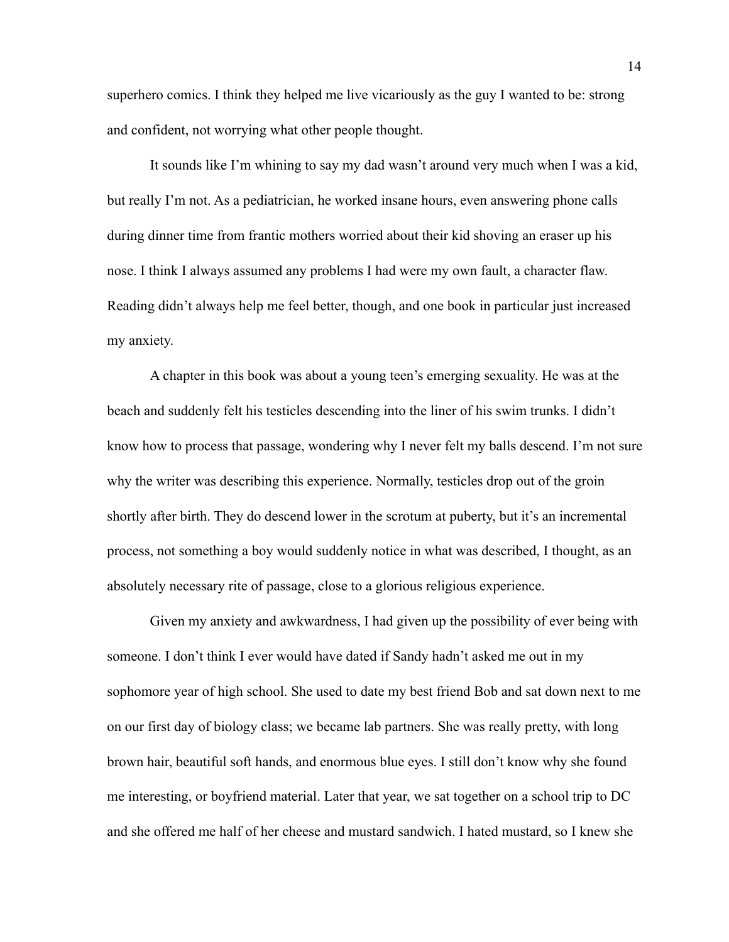superhero comics. I think they helped me live vicariously as the guy I wanted to be: strong and confident, not worrying what other people thought.

It sounds like I'm whining to say my dad wasn't around very much when I was a kid, but really I'm not. As a pediatrician, he worked insane hours, even answering phone calls during dinner time from frantic mothers worried about their kid shoving an eraser up his nose. I think I always assumed any problems I had were my own fault, a character flaw. Reading didn't always help me feel better, though, and one book in particular just increased my anxiety.

A chapter in this book was about a young teen's emerging sexuality. He was at the beach and suddenly felt his testicles descending into the liner of his swim trunks. I didn't know how to process that passage, wondering why I never felt my balls descend. I'm not sure why the writer was describing this experience. Normally, testicles drop out of the groin shortly after birth. They do descend lower in the scrotum at puberty, but it's an incremental process, not something a boy would suddenly notice in what was described, I thought, as an absolutely necessary rite of passage, close to a glorious religious experience.

Given my anxiety and awkwardness, I had given up the possibility of ever being with someone. I don't think I ever would have dated if Sandy hadn't asked me out in my sophomore year of high school. She used to date my best friend Bob and sat down next to me on our first day of biology class; we became lab partners. She was really pretty, with long brown hair, beautiful soft hands, and enormous blue eyes. I still don't know why she found me interesting, or boyfriend material. Later that year, we sat together on a school trip to DC and she offered me half of her cheese and mustard sandwich. I hated mustard, so I knew she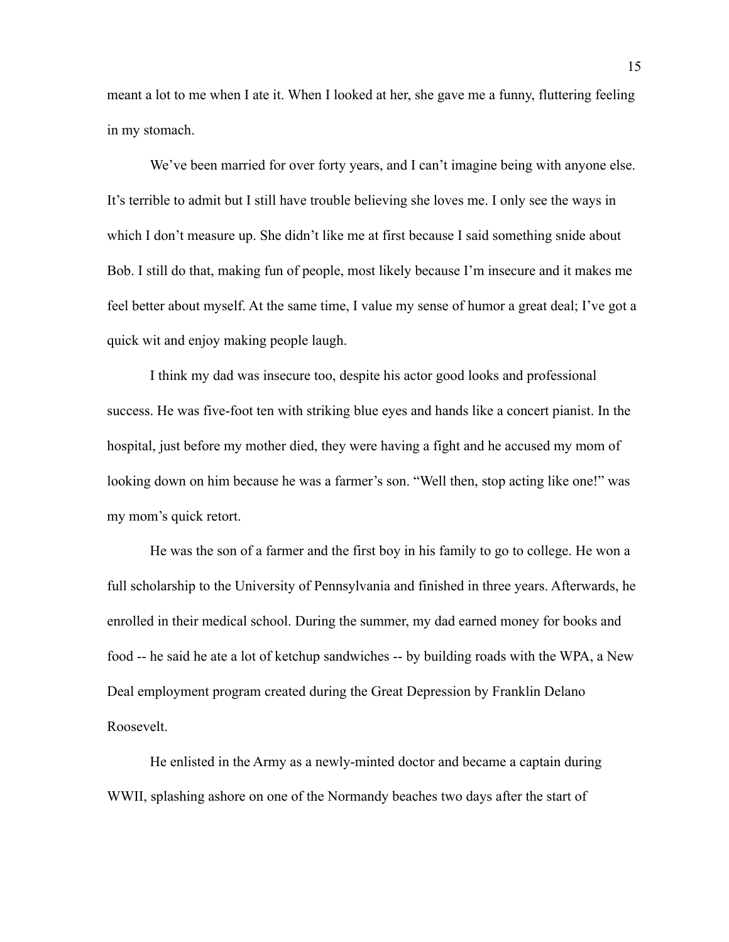meant a lot to me when I ate it. When I looked at her, she gave me a funny, fluttering feeling in my stomach.

We've been married for over forty years, and I can't imagine being with anyone else. It's terrible to admit but I still have trouble believing she loves me. I only see the ways in which I don't measure up. She didn't like me at first because I said something snide about Bob. I still do that, making fun of people, most likely because I'm insecure and it makes me feel better about myself. At the same time, I value my sense of humor a great deal; I've got a quick wit and enjoy making people laugh.

I think my dad was insecure too, despite his actor good looks and professional success. He was five-foot ten with striking blue eyes and hands like a concert pianist. In the hospital, just before my mother died, they were having a fight and he accused my mom of looking down on him because he was a farmer's son. "Well then, stop acting like one!" was my mom's quick retort.

He was the son of a farmer and the first boy in his family to go to college. He won a full scholarship to the University of Pennsylvania and finished in three years. Afterwards, he enrolled in their medical school. During the summer, my dad earned money for books and food -- he said he ate a lot of ketchup sandwiches -- by building roads with the WPA, a New Deal employment program created during the Great Depression by Franklin Delano Roosevelt.

He enlisted in the Army as a newly-minted doctor and became a captain during WWII, splashing ashore on one of the Normandy beaches two days after the start of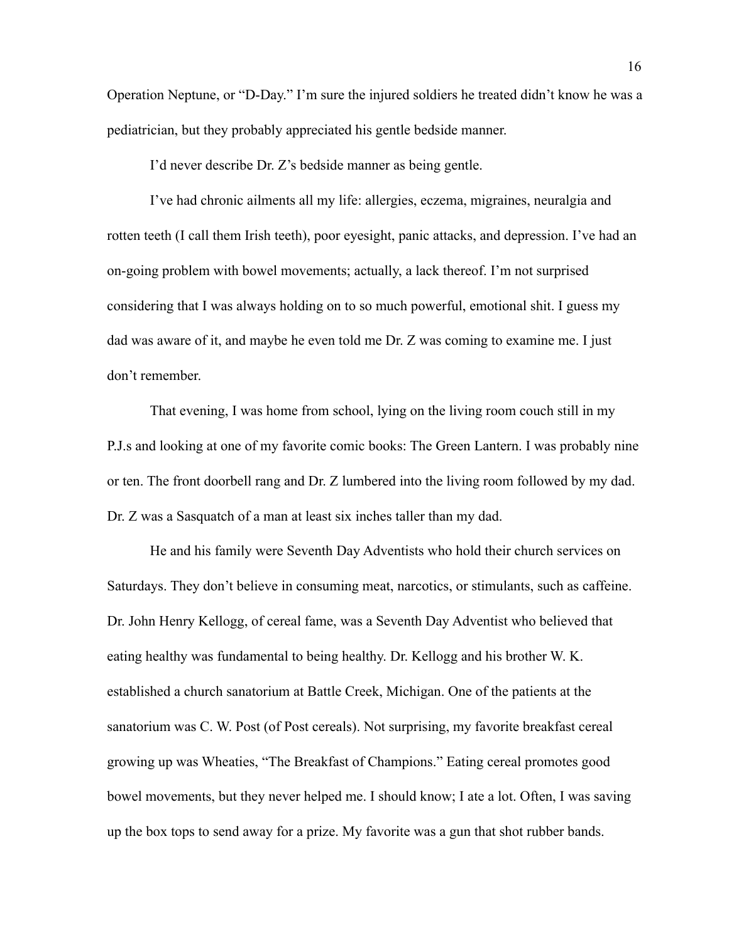Operation Neptune, or "D-Day." I'm sure the injured soldiers he treated didn't know he was a pediatrician, but they probably appreciated his gentle bedside manner.

I'd never describe Dr. Z's bedside manner as being gentle.

I've had chronic ailments all my life: allergies, eczema, migraines, neuralgia and rotten teeth (I call them Irish teeth), poor eyesight, panic attacks, and depression. I've had an on-going problem with bowel movements; actually, a lack thereof. I'm not surprised considering that I was always holding on to so much powerful, emotional shit. I guess my dad was aware of it, and maybe he even told me Dr. Z was coming to examine me. I just don't remember.

That evening, I was home from school, lying on the living room couch still in my P.J.s and looking at one of my favorite comic books: The Green Lantern. I was probably nine or ten. The front doorbell rang and Dr. Z lumbered into the living room followed by my dad. Dr. Z was a Sasquatch of a man at least six inches taller than my dad.

He and his family were Seventh Day Adventists who hold their church services on Saturdays. They don't believe in consuming meat, narcotics, or stimulants, such as caffeine. Dr. John Henry Kellogg, of cereal fame, was a Seventh Day Adventist who believed that eating healthy was fundamental to being healthy. Dr. Kellogg and his brother W. K. established a church sanatorium at Battle Creek, Michigan. One of the patients at the sanatorium was C. W. Post (of Post cereals). Not surprising, my favorite breakfast cereal growing up was Wheaties, "The Breakfast of Champions." Eating cereal promotes good bowel movements, but they never helped me. I should know; I ate a lot. Often, I was saving up the box tops to send away for a prize. My favorite was a gun that shot rubber bands.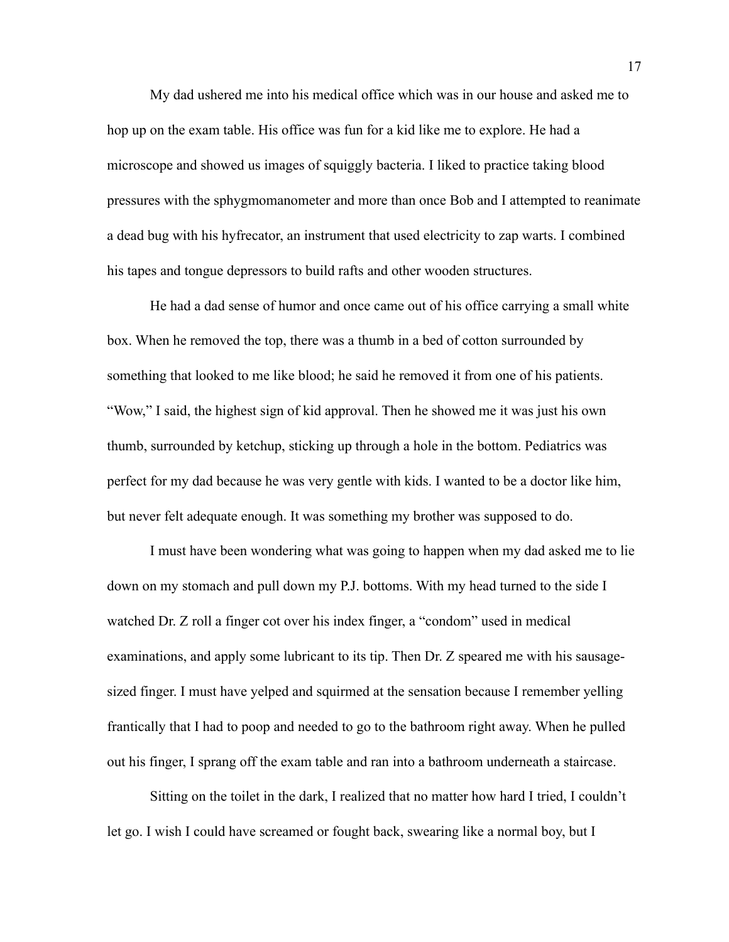My dad ushered me into his medical office which was in our house and asked me to hop up on the exam table. His office was fun for a kid like me to explore. He had a microscope and showed us images of squiggly bacteria. I liked to practice taking blood pressures with the sphygmomanometer and more than once Bob and I attempted to reanimate a dead bug with his hyfrecator, an instrument that used electricity to zap warts. I combined his tapes and tongue depressors to build rafts and other wooden structures.

He had a dad sense of humor and once came out of his office carrying a small white box. When he removed the top, there was a thumb in a bed of cotton surrounded by something that looked to me like blood; he said he removed it from one of his patients. "Wow," I said, the highest sign of kid approval. Then he showed me it was just his own thumb, surrounded by ketchup, sticking up through a hole in the bottom. Pediatrics was perfect for my dad because he was very gentle with kids. I wanted to be a doctor like him, but never felt adequate enough. It was something my brother was supposed to do.

I must have been wondering what was going to happen when my dad asked me to lie down on my stomach and pull down my P.J. bottoms. With my head turned to the side I watched Dr. Z roll a finger cot over his index finger, a "condom" used in medical examinations, and apply some lubricant to its tip. Then Dr. Z speared me with his sausagesized finger. I must have yelped and squirmed at the sensation because I remember yelling frantically that I had to poop and needed to go to the bathroom right away. When he pulled out his finger, I sprang off the exam table and ran into a bathroom underneath a staircase.

Sitting on the toilet in the dark, I realized that no matter how hard I tried, I couldn't let go. I wish I could have screamed or fought back, swearing like a normal boy, but I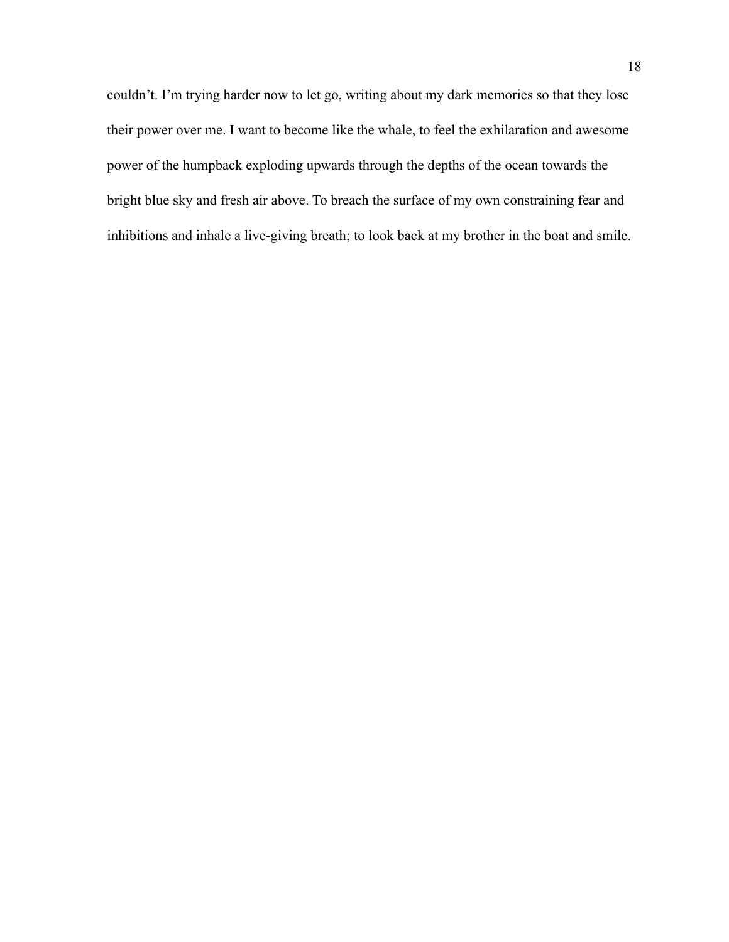couldn't. I'm trying harder now to let go, writing about my dark memories so that they lose their power over me. I want to become like the whale, to feel the exhilaration and awesome power of the humpback exploding upwards through the depths of the ocean towards the bright blue sky and fresh air above. To breach the surface of my own constraining fear and inhibitions and inhale a live-giving breath; to look back at my brother in the boat and smile.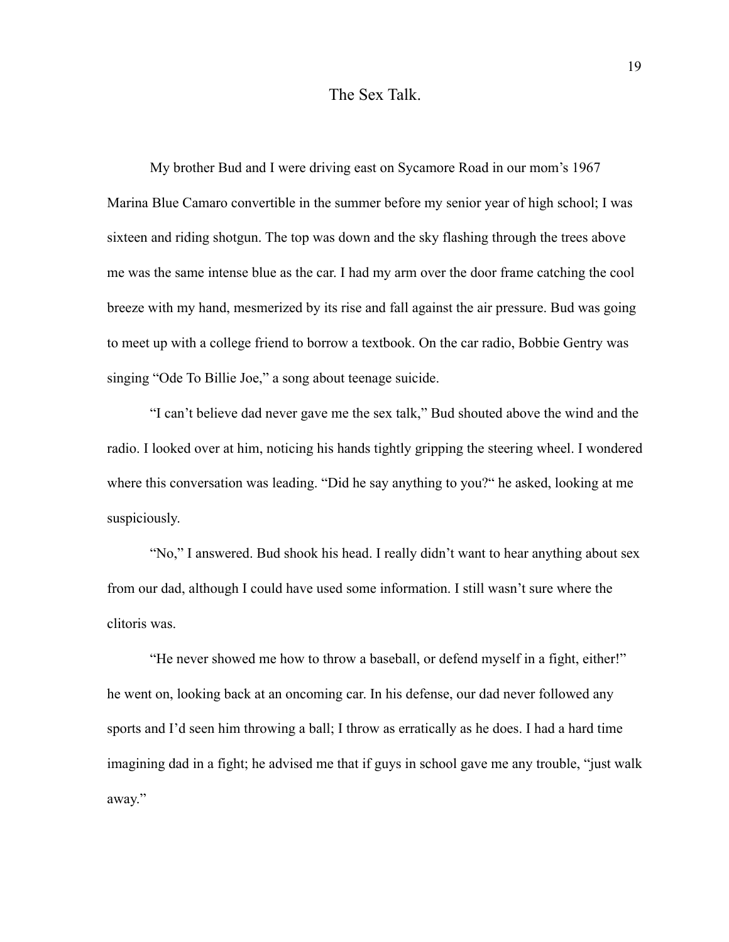## The Sex Talk.

My brother Bud and I were driving east on Sycamore Road in our mom's 1967 Marina Blue Camaro convertible in the summer before my senior year of high school; I was sixteen and riding shotgun. The top was down and the sky flashing through the trees above me was the same intense blue as the car. I had my arm over the door frame catching the cool breeze with my hand, mesmerized by its rise and fall against the air pressure. Bud was going to meet up with a college friend to borrow a textbook. On the car radio, Bobbie Gentry was singing "Ode To Billie Joe," a song about teenage suicide.

"I can't believe dad never gave me the sex talk," Bud shouted above the wind and the radio. I looked over at him, noticing his hands tightly gripping the steering wheel. I wondered where this conversation was leading. "Did he say anything to you?" he asked, looking at me suspiciously.

"No," I answered. Bud shook his head. I really didn't want to hear anything about sex from our dad, although I could have used some information. I still wasn't sure where the clitoris was.

"He never showed me how to throw a baseball, or defend myself in a fight, either!" he went on, looking back at an oncoming car. In his defense, our dad never followed any sports and I'd seen him throwing a ball; I throw as erratically as he does. I had a hard time imagining dad in a fight; he advised me that if guys in school gave me any trouble, "just walk away."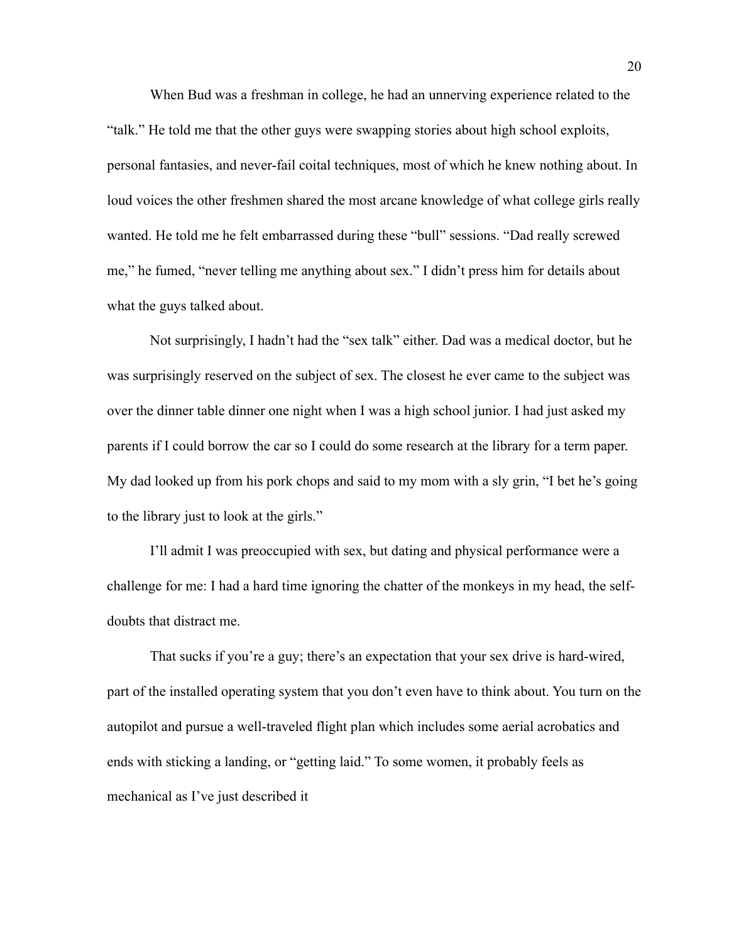When Bud was a freshman in college, he had an unnerving experience related to the "talk." He told me that the other guys were swapping stories about high school exploits, personal fantasies, and never-fail coital techniques, most of which he knew nothing about. In loud voices the other freshmen shared the most arcane knowledge of what college girls really wanted. He told me he felt embarrassed during these "bull" sessions. "Dad really screwed me," he fumed, "never telling me anything about sex." I didn't press him for details about what the guys talked about.

Not surprisingly, I hadn't had the "sex talk" either. Dad was a medical doctor, but he was surprisingly reserved on the subject of sex. The closest he ever came to the subject was over the dinner table dinner one night when I was a high school junior. I had just asked my parents if I could borrow the car so I could do some research at the library for a term paper. My dad looked up from his pork chops and said to my mom with a sly grin, "I bet he's going to the library just to look at the girls."

I'll admit I was preoccupied with sex, but dating and physical performance were a challenge for me: I had a hard time ignoring the chatter of the monkeys in my head, the selfdoubts that distract me.

That sucks if you're a guy; there's an expectation that your sex drive is hard-wired, part of the installed operating system that you don't even have to think about. You turn on the autopilot and pursue a well-traveled flight plan which includes some aerial acrobatics and ends with sticking a landing, or "getting laid." To some women, it probably feels as mechanical as I've just described it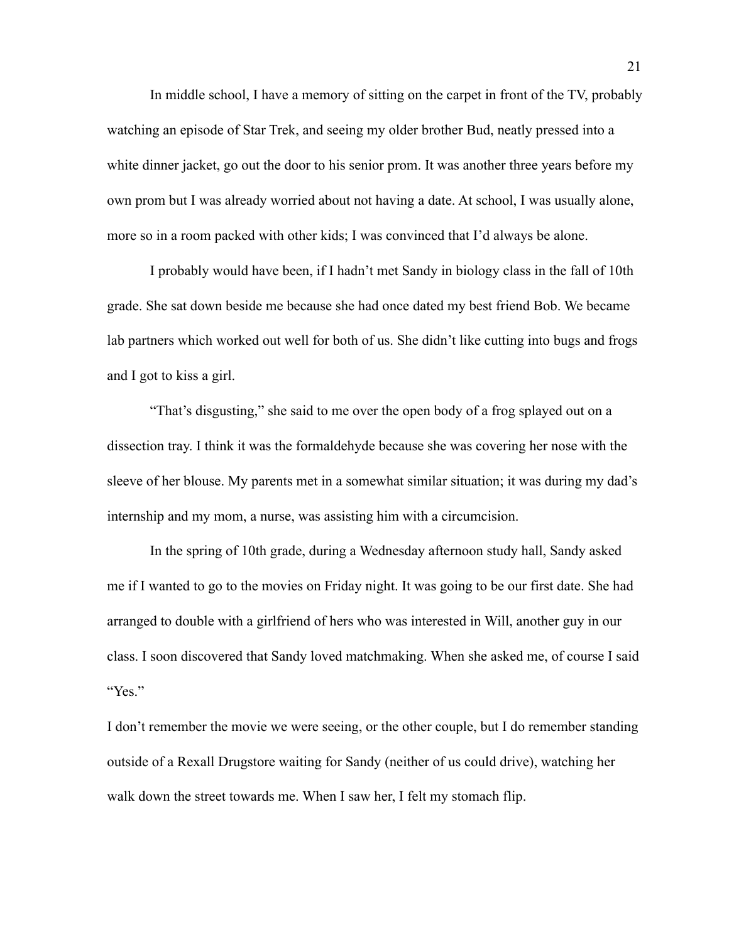In middle school, I have a memory of sitting on the carpet in front of the TV, probably watching an episode of Star Trek, and seeing my older brother Bud, neatly pressed into a white dinner jacket, go out the door to his senior prom. It was another three years before my own prom but I was already worried about not having a date. At school, I was usually alone, more so in a room packed with other kids; I was convinced that I'd always be alone.

I probably would have been, if I hadn't met Sandy in biology class in the fall of 10th grade. She sat down beside me because she had once dated my best friend Bob. We became lab partners which worked out well for both of us. She didn't like cutting into bugs and frogs and I got to kiss a girl.

"That's disgusting," she said to me over the open body of a frog splayed out on a dissection tray. I think it was the formaldehyde because she was covering her nose with the sleeve of her blouse. My parents met in a somewhat similar situation; it was during my dad's internship and my mom, a nurse, was assisting him with a circumcision.

In the spring of 10th grade, during a Wednesday afternoon study hall, Sandy asked me if I wanted to go to the movies on Friday night. It was going to be our first date. She had arranged to double with a girlfriend of hers who was interested in Will, another guy in our class. I soon discovered that Sandy loved matchmaking. When she asked me, of course I said "Yes."

I don't remember the movie we were seeing, or the other couple, but I do remember standing outside of a Rexall Drugstore waiting for Sandy (neither of us could drive), watching her walk down the street towards me. When I saw her, I felt my stomach flip.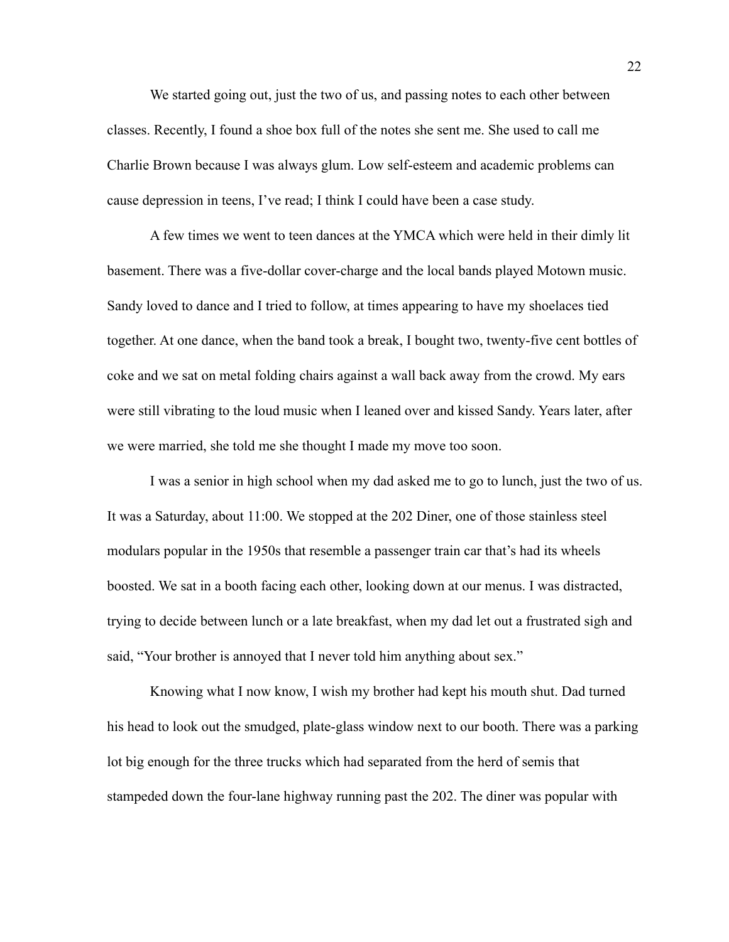We started going out, just the two of us, and passing notes to each other between classes. Recently, I found a shoe box full of the notes she sent me. She used to call me Charlie Brown because I was always glum. Low self-esteem and academic problems can cause depression in teens, I've read; I think I could have been a case study.

A few times we went to teen dances at the YMCA which were held in their dimly lit basement. There was a five-dollar cover-charge and the local bands played Motown music. Sandy loved to dance and I tried to follow, at times appearing to have my shoelaces tied together. At one dance, when the band took a break, I bought two, twenty-five cent bottles of coke and we sat on metal folding chairs against a wall back away from the crowd. My ears were still vibrating to the loud music when I leaned over and kissed Sandy. Years later, after we were married, she told me she thought I made my move too soon.

I was a senior in high school when my dad asked me to go to lunch, just the two of us. It was a Saturday, about 11:00. We stopped at the 202 Diner, one of those stainless steel modulars popular in the 1950s that resemble a passenger train car that's had its wheels boosted. We sat in a booth facing each other, looking down at our menus. I was distracted, trying to decide between lunch or a late breakfast, when my dad let out a frustrated sigh and said, "Your brother is annoyed that I never told him anything about sex."

Knowing what I now know, I wish my brother had kept his mouth shut. Dad turned his head to look out the smudged, plate-glass window next to our booth. There was a parking lot big enough for the three trucks which had separated from the herd of semis that stampeded down the four-lane highway running past the 202. The diner was popular with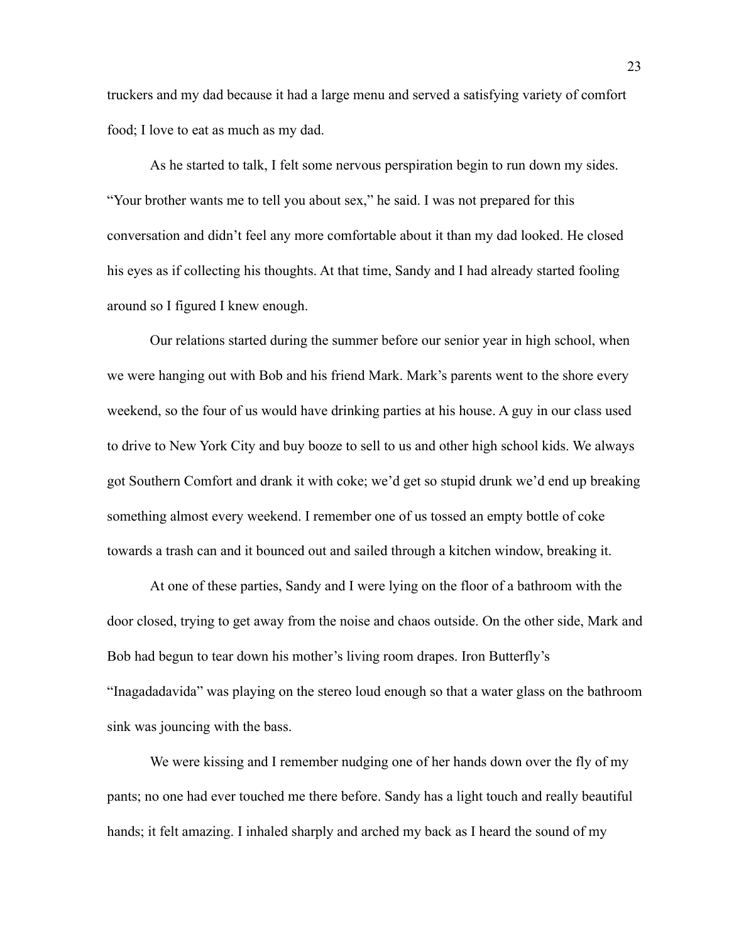truckers and my dad because it had a large menu and served a satisfying variety of comfort food; I love to eat as much as my dad.

As he started to talk, I felt some nervous perspiration begin to run down my sides. "Your brother wants me to tell you about sex," he said. I was not prepared for this conversation and didn't feel any more comfortable about it than my dad looked. He closed his eyes as if collecting his thoughts. At that time, Sandy and I had already started fooling around so I figured I knew enough.

Our relations started during the summer before our senior year in high school, when we were hanging out with Bob and his friend Mark. Mark's parents went to the shore every weekend, so the four of us would have drinking parties at his house. A guy in our class used to drive to New York City and buy booze to sell to us and other high school kids. We always got Southern Comfort and drank it with coke; we'd get so stupid drunk we'd end up breaking something almost every weekend. I remember one of us tossed an empty bottle of coke towards a trash can and it bounced out and sailed through a kitchen window, breaking it.

At one of these parties, Sandy and I were lying on the floor of a bathroom with the door closed, trying to get away from the noise and chaos outside. On the other side, Mark and Bob had begun to tear down his mother's living room drapes. Iron Butterfly's "Inagadadavida" was playing on the stereo loud enough so that a water glass on the bathroom sink was jouncing with the bass.

We were kissing and I remember nudging one of her hands down over the fly of my pants; no one had ever touched me there before. Sandy has a light touch and really beautiful hands; it felt amazing. I inhaled sharply and arched my back as I heard the sound of my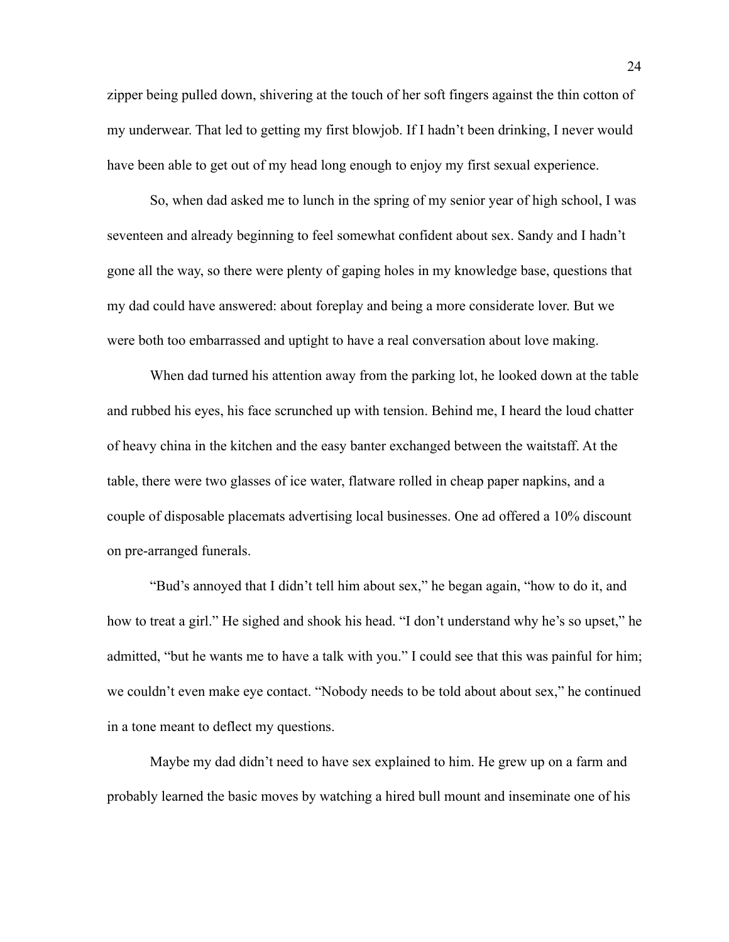zipper being pulled down, shivering at the touch of her soft fingers against the thin cotton of my underwear. That led to getting my first blowjob. If I hadn't been drinking, I never would have been able to get out of my head long enough to enjoy my first sexual experience.

So, when dad asked me to lunch in the spring of my senior year of high school, I was seventeen and already beginning to feel somewhat confident about sex. Sandy and I hadn't gone all the way, so there were plenty of gaping holes in my knowledge base, questions that my dad could have answered: about foreplay and being a more considerate lover. But we were both too embarrassed and uptight to have a real conversation about love making.

When dad turned his attention away from the parking lot, he looked down at the table and rubbed his eyes, his face scrunched up with tension. Behind me, I heard the loud chatter of heavy china in the kitchen and the easy banter exchanged between the waitstaff. At the table, there were two glasses of ice water, flatware rolled in cheap paper napkins, and a couple of disposable placemats advertising local businesses. One ad offered a 10% discount on pre-arranged funerals.

"Bud's annoyed that I didn't tell him about sex," he began again, "how to do it, and how to treat a girl." He sighed and shook his head. "I don't understand why he's so upset," he admitted, "but he wants me to have a talk with you." I could see that this was painful for him; we couldn't even make eye contact. "Nobody needs to be told about about sex," he continued in a tone meant to deflect my questions.

Maybe my dad didn't need to have sex explained to him. He grew up on a farm and probably learned the basic moves by watching a hired bull mount and inseminate one of his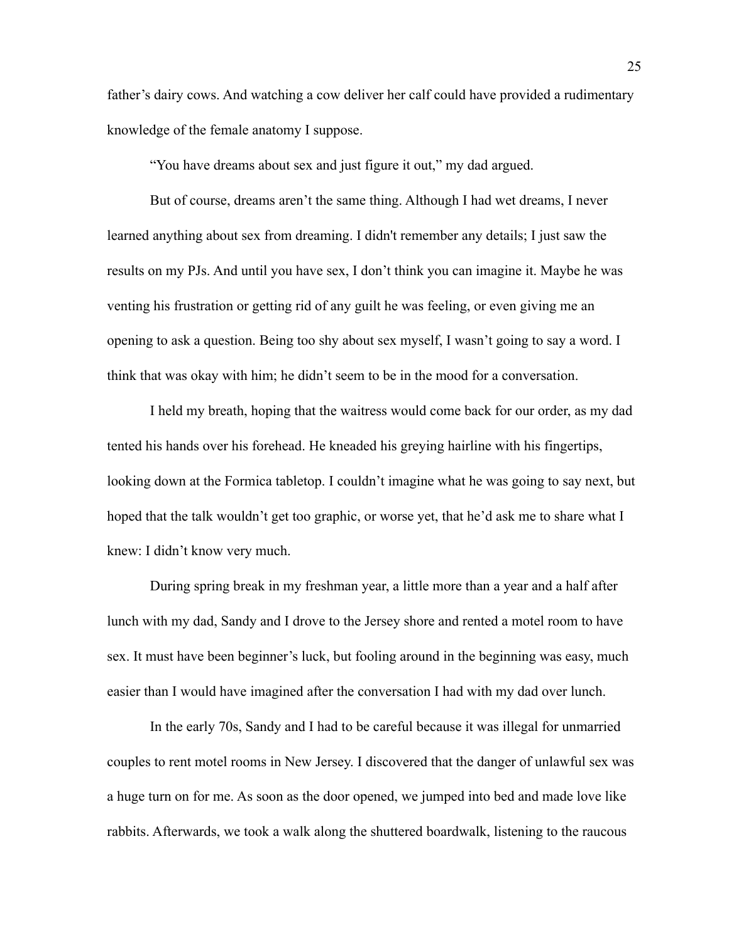father's dairy cows. And watching a cow deliver her calf could have provided a rudimentary knowledge of the female anatomy I suppose.

"You have dreams about sex and just figure it out," my dad argued.

But of course, dreams aren't the same thing. Although I had wet dreams, I never learned anything about sex from dreaming. I didn't remember any details; I just saw the results on my PJs. And until you have sex, I don't think you can imagine it. Maybe he was venting his frustration or getting rid of any guilt he was feeling, or even giving me an opening to ask a question. Being too shy about sex myself, I wasn't going to say a word. I think that was okay with him; he didn't seem to be in the mood for a conversation.

I held my breath, hoping that the waitress would come back for our order, as my dad tented his hands over his forehead. He kneaded his greying hairline with his fingertips, looking down at the Formica tabletop. I couldn't imagine what he was going to say next, but hoped that the talk wouldn't get too graphic, or worse yet, that he'd ask me to share what I knew: I didn't know very much.

During spring break in my freshman year, a little more than a year and a half after lunch with my dad, Sandy and I drove to the Jersey shore and rented a motel room to have sex. It must have been beginner's luck, but fooling around in the beginning was easy, much easier than I would have imagined after the conversation I had with my dad over lunch.

In the early 70s, Sandy and I had to be careful because it was illegal for unmarried couples to rent motel rooms in New Jersey. I discovered that the danger of unlawful sex was a huge turn on for me. As soon as the door opened, we jumped into bed and made love like rabbits. Afterwards, we took a walk along the shuttered boardwalk, listening to the raucous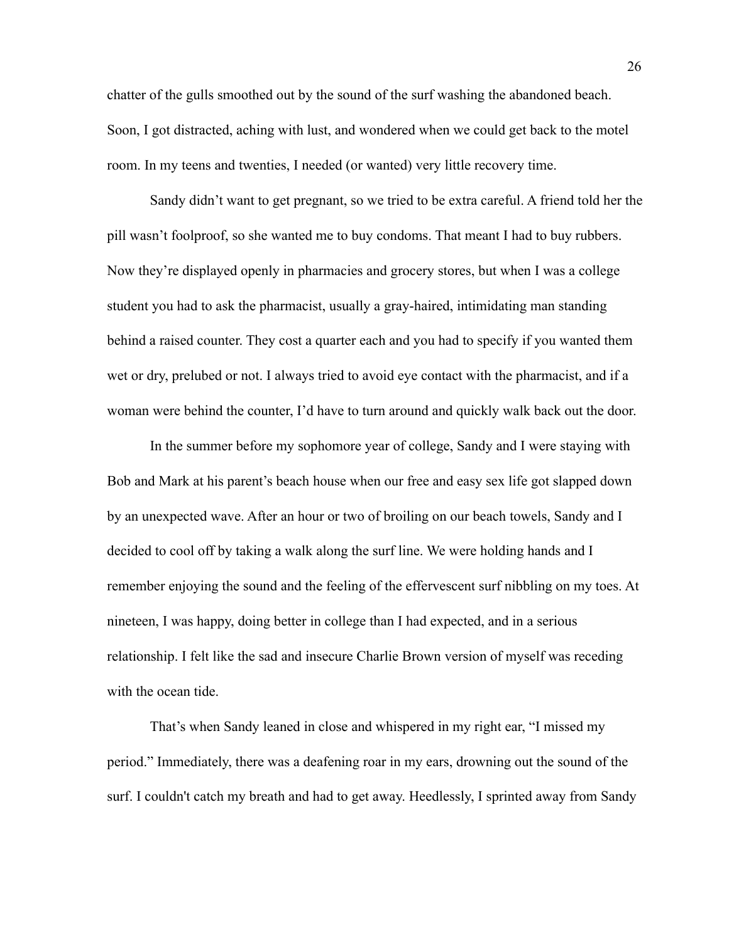chatter of the gulls smoothed out by the sound of the surf washing the abandoned beach. Soon, I got distracted, aching with lust, and wondered when we could get back to the motel room. In my teens and twenties, I needed (or wanted) very little recovery time.

Sandy didn't want to get pregnant, so we tried to be extra careful. A friend told her the pill wasn't foolproof, so she wanted me to buy condoms. That meant I had to buy rubbers. Now they're displayed openly in pharmacies and grocery stores, but when I was a college student you had to ask the pharmacist, usually a gray-haired, intimidating man standing behind a raised counter. They cost a quarter each and you had to specify if you wanted them wet or dry, prelubed or not. I always tried to avoid eye contact with the pharmacist, and if a woman were behind the counter, I'd have to turn around and quickly walk back out the door.

In the summer before my sophomore year of college, Sandy and I were staying with Bob and Mark at his parent's beach house when our free and easy sex life got slapped down by an unexpected wave. After an hour or two of broiling on our beach towels, Sandy and I decided to cool off by taking a walk along the surf line. We were holding hands and I remember enjoying the sound and the feeling of the effervescent surf nibbling on my toes. At nineteen, I was happy, doing better in college than I had expected, and in a serious relationship. I felt like the sad and insecure Charlie Brown version of myself was receding with the ocean tide.

That's when Sandy leaned in close and whispered in my right ear, "I missed my period." Immediately, there was a deafening roar in my ears, drowning out the sound of the surf. I couldn't catch my breath and had to get away. Heedlessly, I sprinted away from Sandy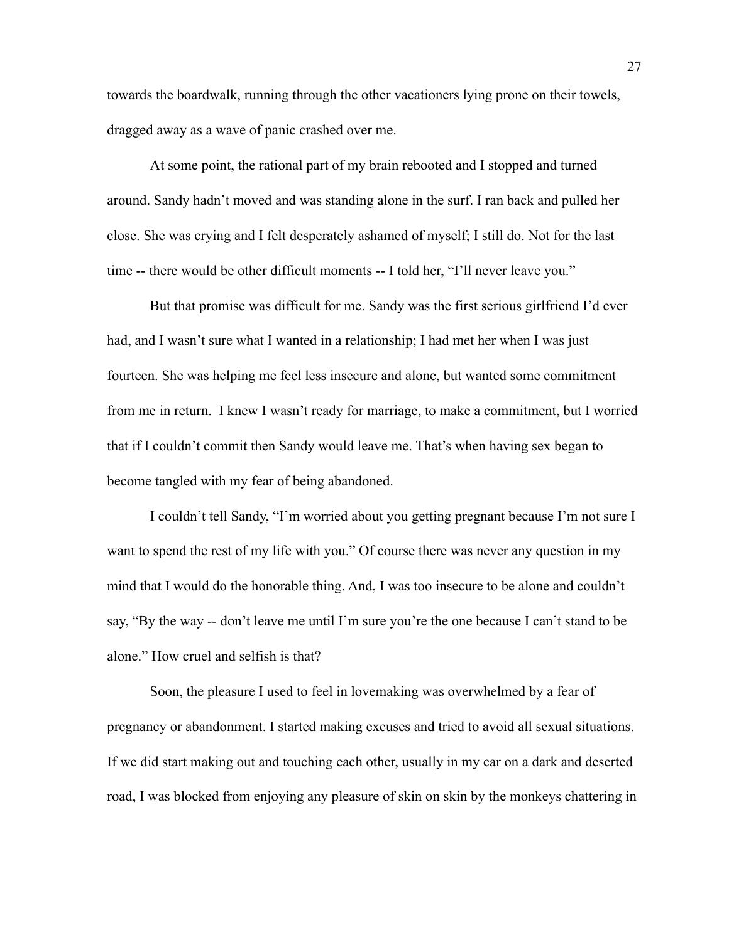towards the boardwalk, running through the other vacationers lying prone on their towels, dragged away as a wave of panic crashed over me.

At some point, the rational part of my brain rebooted and I stopped and turned around. Sandy hadn't moved and was standing alone in the surf. I ran back and pulled her close. She was crying and I felt desperately ashamed of myself; I still do. Not for the last time -- there would be other difficult moments -- I told her, "I'll never leave you."

But that promise was difficult for me. Sandy was the first serious girlfriend I'd ever had, and I wasn't sure what I wanted in a relationship; I had met her when I was just fourteen. She was helping me feel less insecure and alone, but wanted some commitment from me in return. I knew I wasn't ready for marriage, to make a commitment, but I worried that if I couldn't commit then Sandy would leave me. That's when having sex began to become tangled with my fear of being abandoned.

I couldn't tell Sandy, "I'm worried about you getting pregnant because I'm not sure I want to spend the rest of my life with you." Of course there was never any question in my mind that I would do the honorable thing. And, I was too insecure to be alone and couldn't say, "By the way -- don't leave me until I'm sure you're the one because I can't stand to be alone." How cruel and selfish is that?

Soon, the pleasure I used to feel in lovemaking was overwhelmed by a fear of pregnancy or abandonment. I started making excuses and tried to avoid all sexual situations. If we did start making out and touching each other, usually in my car on a dark and deserted road, I was blocked from enjoying any pleasure of skin on skin by the monkeys chattering in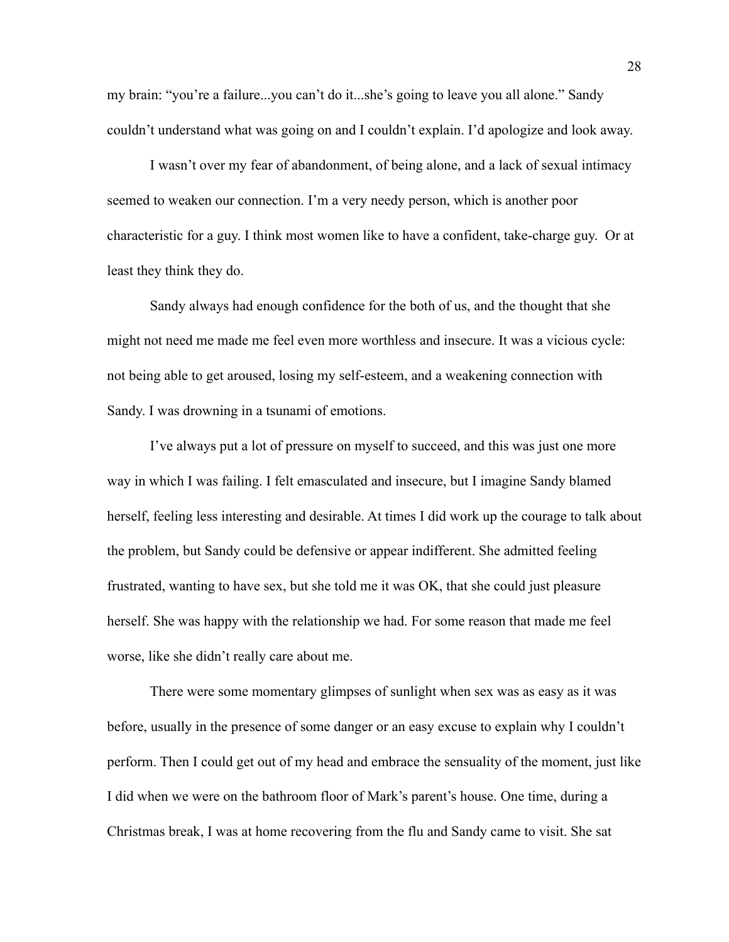my brain: "you're a failure...you can't do it...she's going to leave you all alone." Sandy couldn't understand what was going on and I couldn't explain. I'd apologize and look away.

I wasn't over my fear of abandonment, of being alone, and a lack of sexual intimacy seemed to weaken our connection. I'm a very needy person, which is another poor characteristic for a guy. I think most women like to have a confident, take-charge guy. Or at least they think they do.

Sandy always had enough confidence for the both of us, and the thought that she might not need me made me feel even more worthless and insecure. It was a vicious cycle: not being able to get aroused, losing my self-esteem, and a weakening connection with Sandy. I was drowning in a tsunami of emotions.

I've always put a lot of pressure on myself to succeed, and this was just one more way in which I was failing. I felt emasculated and insecure, but I imagine Sandy blamed herself, feeling less interesting and desirable. At times I did work up the courage to talk about the problem, but Sandy could be defensive or appear indifferent. She admitted feeling frustrated, wanting to have sex, but she told me it was OK, that she could just pleasure herself. She was happy with the relationship we had. For some reason that made me feel worse, like she didn't really care about me.

There were some momentary glimpses of sunlight when sex was as easy as it was before, usually in the presence of some danger or an easy excuse to explain why I couldn't perform. Then I could get out of my head and embrace the sensuality of the moment, just like I did when we were on the bathroom floor of Mark's parent's house. One time, during a Christmas break, I was at home recovering from the flu and Sandy came to visit. She sat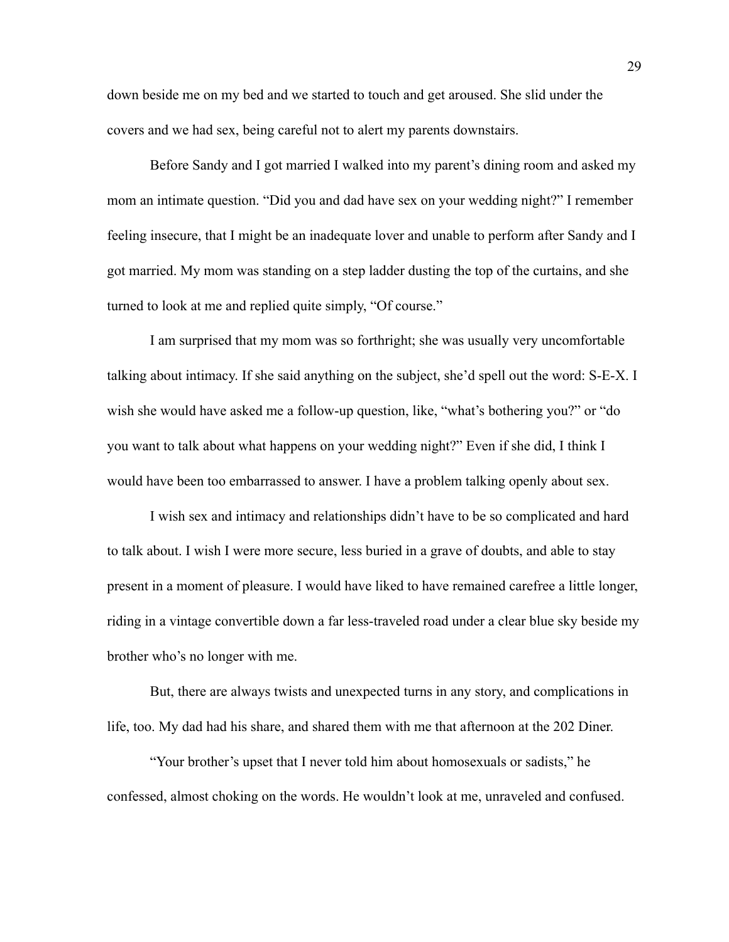down beside me on my bed and we started to touch and get aroused. She slid under the covers and we had sex, being careful not to alert my parents downstairs.

Before Sandy and I got married I walked into my parent's dining room and asked my mom an intimate question. "Did you and dad have sex on your wedding night?" I remember feeling insecure, that I might be an inadequate lover and unable to perform after Sandy and I got married. My mom was standing on a step ladder dusting the top of the curtains, and she turned to look at me and replied quite simply, "Of course."

I am surprised that my mom was so forthright; she was usually very uncomfortable talking about intimacy. If she said anything on the subject, she'd spell out the word: S-E-X. I wish she would have asked me a follow-up question, like, "what's bothering you?" or "do you want to talk about what happens on your wedding night?" Even if she did, I think I would have been too embarrassed to answer. I have a problem talking openly about sex.

I wish sex and intimacy and relationships didn't have to be so complicated and hard to talk about. I wish I were more secure, less buried in a grave of doubts, and able to stay present in a moment of pleasure. I would have liked to have remained carefree a little longer, riding in a vintage convertible down a far less-traveled road under a clear blue sky beside my brother who's no longer with me.

But, there are always twists and unexpected turns in any story, and complications in life, too. My dad had his share, and shared them with me that afternoon at the 202 Diner.

"Your brother's upset that I never told him about homosexuals or sadists," he confessed, almost choking on the words. He wouldn't look at me, unraveled and confused.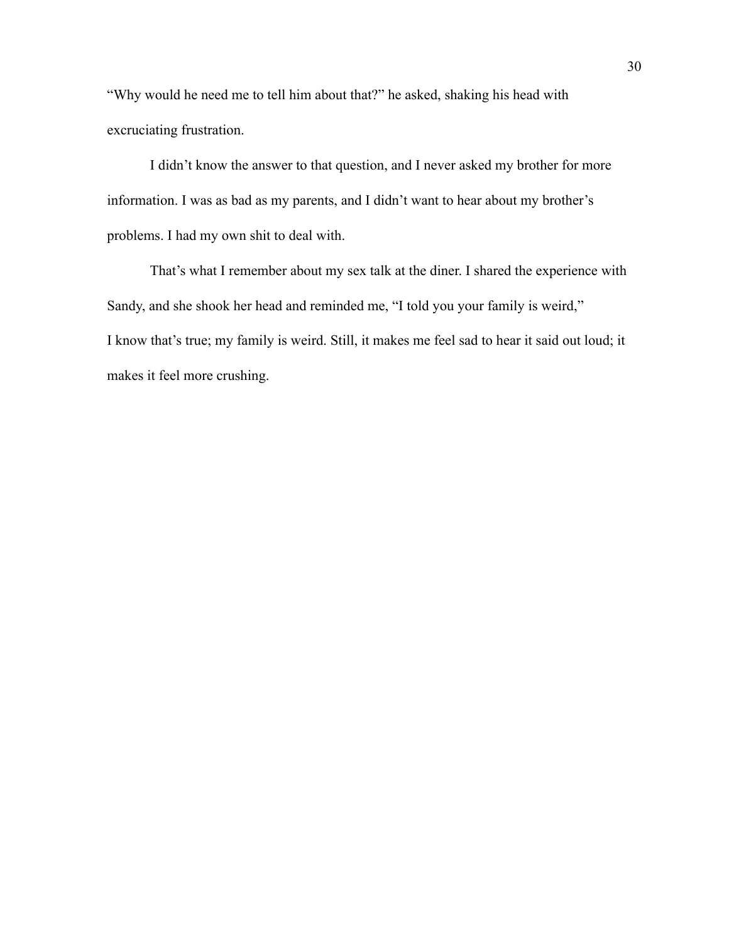"Why would he need me to tell him about that?" he asked, shaking his head with excruciating frustration.

I didn't know the answer to that question, and I never asked my brother for more information. I was as bad as my parents, and I didn't want to hear about my brother's problems. I had my own shit to deal with.

That's what I remember about my sex talk at the diner. I shared the experience with Sandy, and she shook her head and reminded me, "I told you your family is weird," I know that's true; my family is weird. Still, it makes me feel sad to hear it said out loud; it makes it feel more crushing.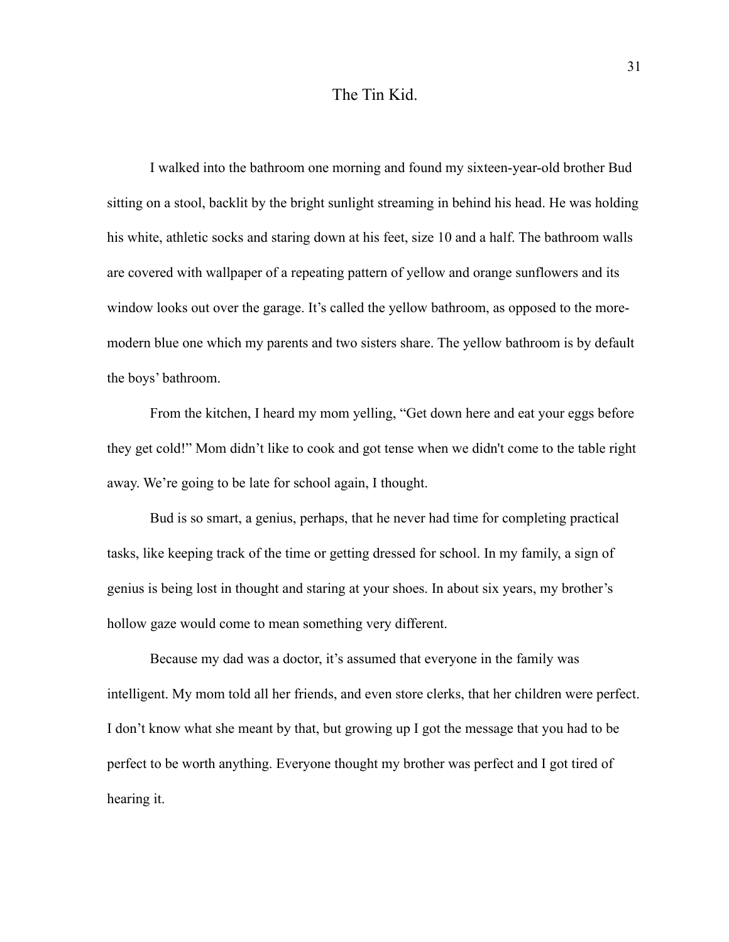## The Tin Kid.

I walked into the bathroom one morning and found my sixteen-year-old brother Bud sitting on a stool, backlit by the bright sunlight streaming in behind his head. He was holding his white, athletic socks and staring down at his feet, size 10 and a half. The bathroom walls are covered with wallpaper of a repeating pattern of yellow and orange sunflowers and its window looks out over the garage. It's called the yellow bathroom, as opposed to the moremodern blue one which my parents and two sisters share. The yellow bathroom is by default the boys' bathroom.

From the kitchen, I heard my mom yelling, "Get down here and eat your eggs before they get cold!" Mom didn't like to cook and got tense when we didn't come to the table right away. We're going to be late for school again, I thought.

Bud is so smart, a genius, perhaps, that he never had time for completing practical tasks, like keeping track of the time or getting dressed for school. In my family, a sign of genius is being lost in thought and staring at your shoes. In about six years, my brother's hollow gaze would come to mean something very different.

Because my dad was a doctor, it's assumed that everyone in the family was intelligent. My mom told all her friends, and even store clerks, that her children were perfect. I don't know what she meant by that, but growing up I got the message that you had to be perfect to be worth anything. Everyone thought my brother was perfect and I got tired of hearing it.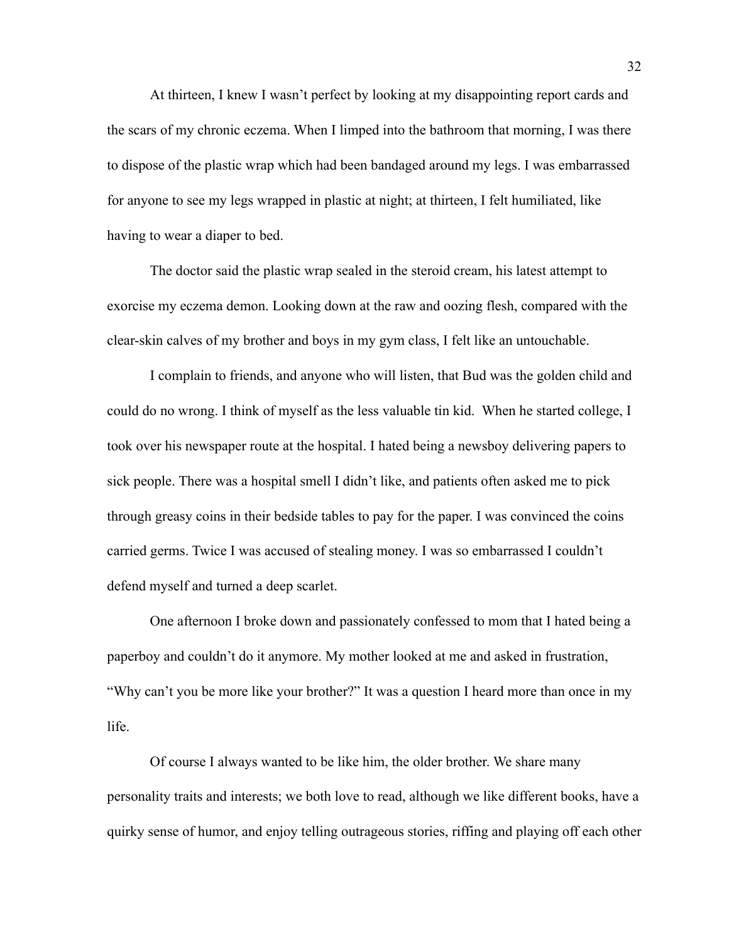At thirteen, I knew I wasn't perfect by looking at my disappointing report cards and the scars of my chronic eczema. When I limped into the bathroom that morning, I was there to dispose of the plastic wrap which had been bandaged around my legs. I was embarrassed for anyone to see my legs wrapped in plastic at night; at thirteen, I felt humiliated, like having to wear a diaper to bed.

The doctor said the plastic wrap sealed in the steroid cream, his latest attempt to exorcise my eczema demon. Looking down at the raw and oozing flesh, compared with the clear-skin calves of my brother and boys in my gym class, I felt like an untouchable.

I complain to friends, and anyone who will listen, that Bud was the golden child and could do no wrong. I think of myself as the less valuable tin kid. When he started college, I took over his newspaper route at the hospital. I hated being a newsboy delivering papers to sick people. There was a hospital smell I didn't like, and patients often asked me to pick through greasy coins in their bedside tables to pay for the paper. I was convinced the coins carried germs. Twice I was accused of stealing money. I was so embarrassed I couldn't defend myself and turned a deep scarlet.

One afternoon I broke down and passionately confessed to mom that I hated being a paperboy and couldn't do it anymore. My mother looked at me and asked in frustration, "Why can't you be more like your brother?" It was a question I heard more than once in my life.

Of course I always wanted to be like him, the older brother. We share many personality traits and interests; we both love to read, although we like different books, have a quirky sense of humor, and enjoy telling outrageous stories, riffing and playing off each other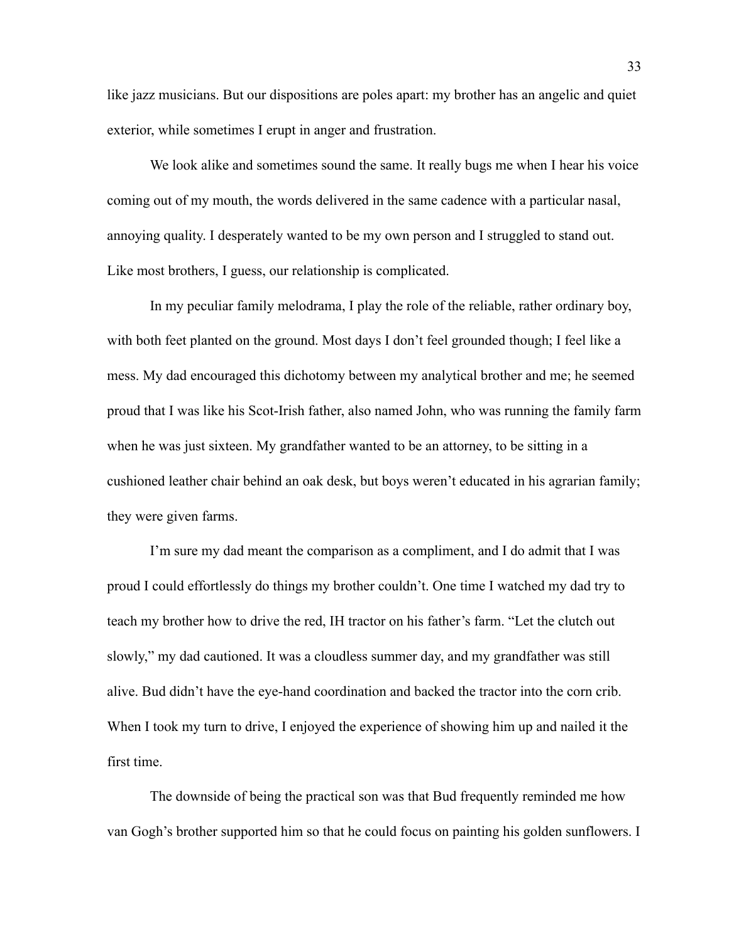like jazz musicians. But our dispositions are poles apart: my brother has an angelic and quiet exterior, while sometimes I erupt in anger and frustration.

We look alike and sometimes sound the same. It really bugs me when I hear his voice coming out of my mouth, the words delivered in the same cadence with a particular nasal, annoying quality. I desperately wanted to be my own person and I struggled to stand out. Like most brothers, I guess, our relationship is complicated.

In my peculiar family melodrama, I play the role of the reliable, rather ordinary boy, with both feet planted on the ground. Most days I don't feel grounded though; I feel like a mess. My dad encouraged this dichotomy between my analytical brother and me; he seemed proud that I was like his Scot-Irish father, also named John, who was running the family farm when he was just sixteen. My grandfather wanted to be an attorney, to be sitting in a cushioned leather chair behind an oak desk, but boys weren't educated in his agrarian family; they were given farms.

I'm sure my dad meant the comparison as a compliment, and I do admit that I was proud I could effortlessly do things my brother couldn't. One time I watched my dad try to teach my brother how to drive the red, IH tractor on his father's farm. "Let the clutch out slowly," my dad cautioned. It was a cloudless summer day, and my grandfather was still alive. Bud didn't have the eye-hand coordination and backed the tractor into the corn crib. When I took my turn to drive, I enjoyed the experience of showing him up and nailed it the first time.

The downside of being the practical son was that Bud frequently reminded me how van Gogh's brother supported him so that he could focus on painting his golden sunflowers. I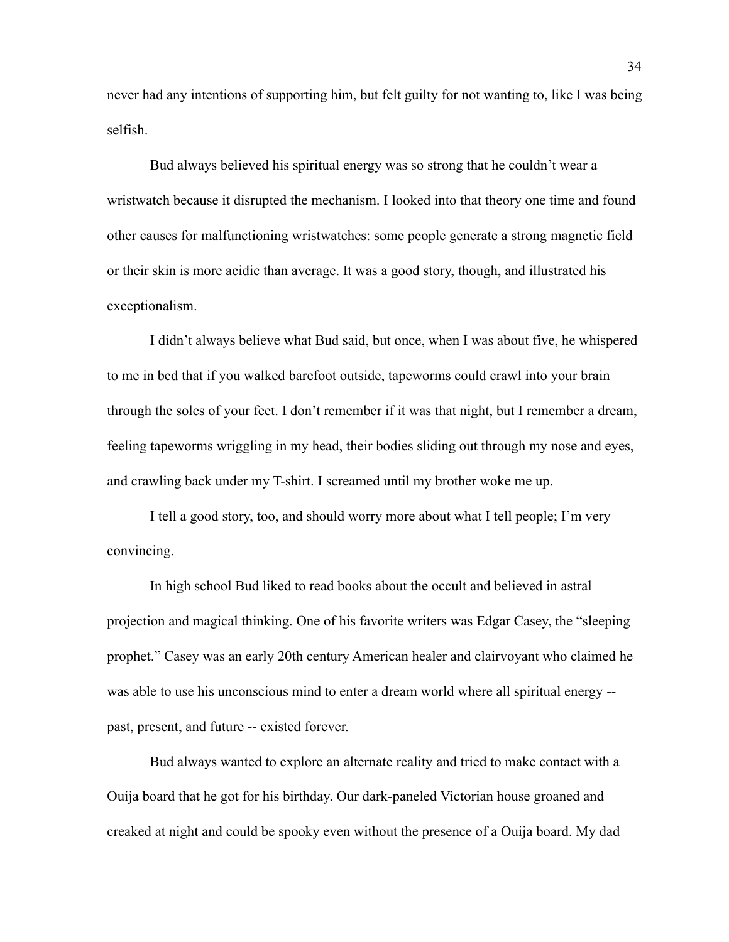never had any intentions of supporting him, but felt guilty for not wanting to, like I was being selfish.

Bud always believed his spiritual energy was so strong that he couldn't wear a wristwatch because it disrupted the mechanism. I looked into that theory one time and found other causes for malfunctioning wristwatches: some people generate a strong magnetic field or their skin is more acidic than average. It was a good story, though, and illustrated his exceptionalism.

I didn't always believe what Bud said, but once, when I was about five, he whispered to me in bed that if you walked barefoot outside, tapeworms could crawl into your brain through the soles of your feet. I don't remember if it was that night, but I remember a dream, feeling tapeworms wriggling in my head, their bodies sliding out through my nose and eyes, and crawling back under my T-shirt. I screamed until my brother woke me up.

I tell a good story, too, and should worry more about what I tell people; I'm very convincing.

In high school Bud liked to read books about the occult and believed in astral projection and magical thinking. One of his favorite writers was Edgar Casey, the "sleeping prophet." Casey was an early 20th century American healer and clairvoyant who claimed he was able to use his unconscious mind to enter a dream world where all spiritual energy - past, present, and future -- existed forever.

Bud always wanted to explore an alternate reality and tried to make contact with a Ouija board that he got for his birthday. Our dark-paneled Victorian house groaned and creaked at night and could be spooky even without the presence of a Ouija board. My dad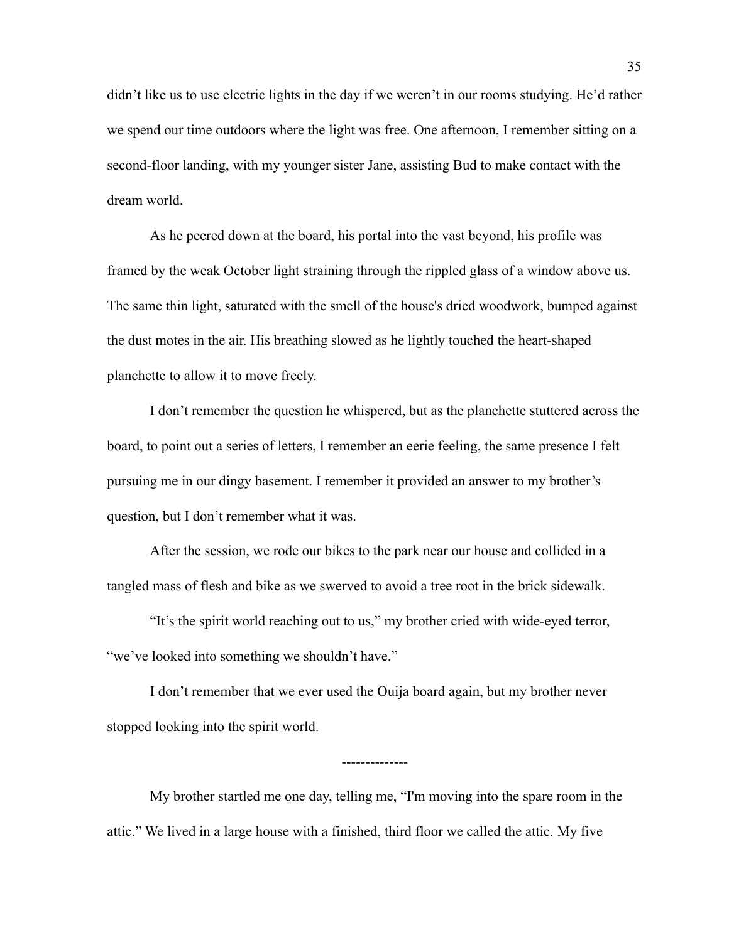didn't like us to use electric lights in the day if we weren't in our rooms studying. He'd rather we spend our time outdoors where the light was free. One afternoon, I remember sitting on a second-floor landing, with my younger sister Jane, assisting Bud to make contact with the dream world.

As he peered down at the board, his portal into the vast beyond, his profile was framed by the weak October light straining through the rippled glass of a window above us. The same thin light, saturated with the smell of the house's dried woodwork, bumped against the dust motes in the air. His breathing slowed as he lightly touched the heart-shaped planchette to allow it to move freely.

I don't remember the question he whispered, but as the planchette stuttered across the board, to point out a series of letters, I remember an eerie feeling, the same presence I felt pursuing me in our dingy basement. I remember it provided an answer to my brother's question, but I don't remember what it was.

After the session, we rode our bikes to the park near our house and collided in a tangled mass of flesh and bike as we swerved to avoid a tree root in the brick sidewalk.

"It's the spirit world reaching out to us," my brother cried with wide-eyed terror, "we've looked into something we shouldn't have."

I don't remember that we ever used the Ouija board again, but my brother never stopped looking into the spirit world.

My brother startled me one day, telling me, "I'm moving into the spare room in the attic." We lived in a large house with a finished, third floor we called the attic. My five

--------------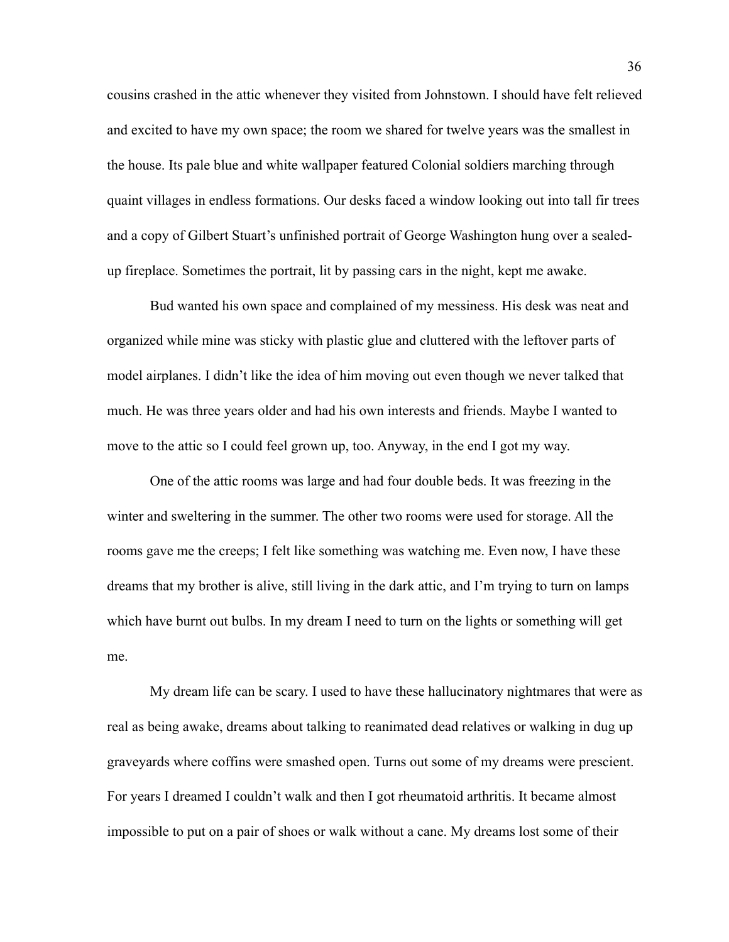cousins crashed in the attic whenever they visited from Johnstown. I should have felt relieved and excited to have my own space; the room we shared for twelve years was the smallest in the house. Its pale blue and white wallpaper featured Colonial soldiers marching through quaint villages in endless formations. Our desks faced a window looking out into tall fir trees and a copy of Gilbert Stuart's unfinished portrait of George Washington hung over a sealedup fireplace. Sometimes the portrait, lit by passing cars in the night, kept me awake.

Bud wanted his own space and complained of my messiness. His desk was neat and organized while mine was sticky with plastic glue and cluttered with the leftover parts of model airplanes. I didn't like the idea of him moving out even though we never talked that much. He was three years older and had his own interests and friends. Maybe I wanted to move to the attic so I could feel grown up, too. Anyway, in the end I got my way.

One of the attic rooms was large and had four double beds. It was freezing in the winter and sweltering in the summer. The other two rooms were used for storage. All the rooms gave me the creeps; I felt like something was watching me. Even now, I have these dreams that my brother is alive, still living in the dark attic, and I'm trying to turn on lamps which have burnt out bulbs. In my dream I need to turn on the lights or something will get me.

My dream life can be scary. I used to have these hallucinatory nightmares that were as real as being awake, dreams about talking to reanimated dead relatives or walking in dug up graveyards where coffins were smashed open. Turns out some of my dreams were prescient. For years I dreamed I couldn't walk and then I got rheumatoid arthritis. It became almost impossible to put on a pair of shoes or walk without a cane. My dreams lost some of their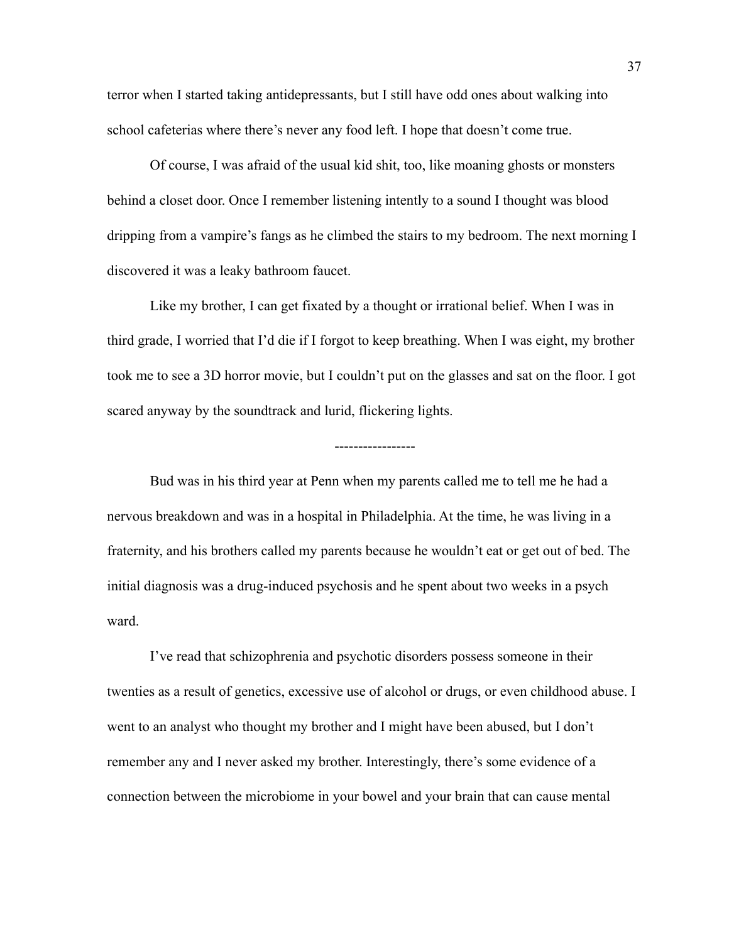terror when I started taking antidepressants, but I still have odd ones about walking into school cafeterias where there's never any food left. I hope that doesn't come true.

Of course, I was afraid of the usual kid shit, too, like moaning ghosts or monsters behind a closet door. Once I remember listening intently to a sound I thought was blood dripping from a vampire's fangs as he climbed the stairs to my bedroom. The next morning I discovered it was a leaky bathroom faucet.

Like my brother, I can get fixated by a thought or irrational belief. When I was in third grade, I worried that I'd die if I forgot to keep breathing. When I was eight, my brother took me to see a 3D horror movie, but I couldn't put on the glasses and sat on the floor. I got scared anyway by the soundtrack and lurid, flickering lights.

#### -----------------

Bud was in his third year at Penn when my parents called me to tell me he had a nervous breakdown and was in a hospital in Philadelphia. At the time, he was living in a fraternity, and his brothers called my parents because he wouldn't eat or get out of bed. The initial diagnosis was a drug-induced psychosis and he spent about two weeks in a psych ward.

I've read that schizophrenia and psychotic disorders possess someone in their twenties as a result of genetics, excessive use of alcohol or drugs, or even childhood abuse. I went to an analyst who thought my brother and I might have been abused, but I don't remember any and I never asked my brother. Interestingly, there's some evidence of a connection between the microbiome in your bowel and your brain that can cause mental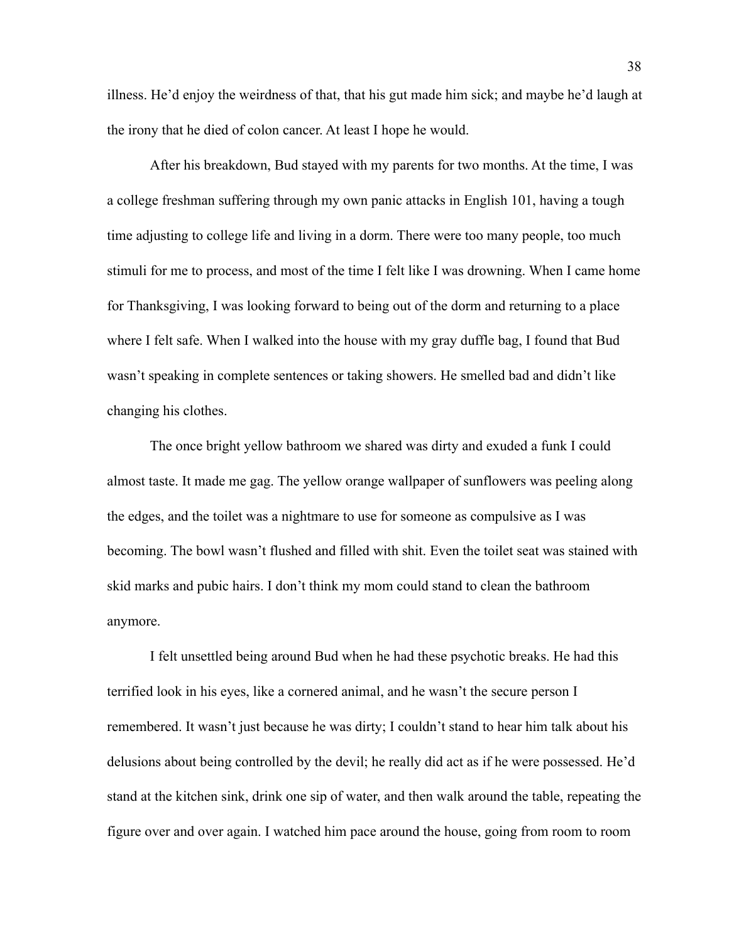illness. He'd enjoy the weirdness of that, that his gut made him sick; and maybe he'd laugh at the irony that he died of colon cancer. At least I hope he would.

After his breakdown, Bud stayed with my parents for two months. At the time, I was a college freshman suffering through my own panic attacks in English 101, having a tough time adjusting to college life and living in a dorm. There were too many people, too much stimuli for me to process, and most of the time I felt like I was drowning. When I came home for Thanksgiving, I was looking forward to being out of the dorm and returning to a place where I felt safe. When I walked into the house with my gray duffle bag, I found that Bud wasn't speaking in complete sentences or taking showers. He smelled bad and didn't like changing his clothes.

The once bright yellow bathroom we shared was dirty and exuded a funk I could almost taste. It made me gag. The yellow orange wallpaper of sunflowers was peeling along the edges, and the toilet was a nightmare to use for someone as compulsive as I was becoming. The bowl wasn't flushed and filled with shit. Even the toilet seat was stained with skid marks and pubic hairs. I don't think my mom could stand to clean the bathroom anymore.

I felt unsettled being around Bud when he had these psychotic breaks. He had this terrified look in his eyes, like a cornered animal, and he wasn't the secure person I remembered. It wasn't just because he was dirty; I couldn't stand to hear him talk about his delusions about being controlled by the devil; he really did act as if he were possessed. He'd stand at the kitchen sink, drink one sip of water, and then walk around the table, repeating the figure over and over again. I watched him pace around the house, going from room to room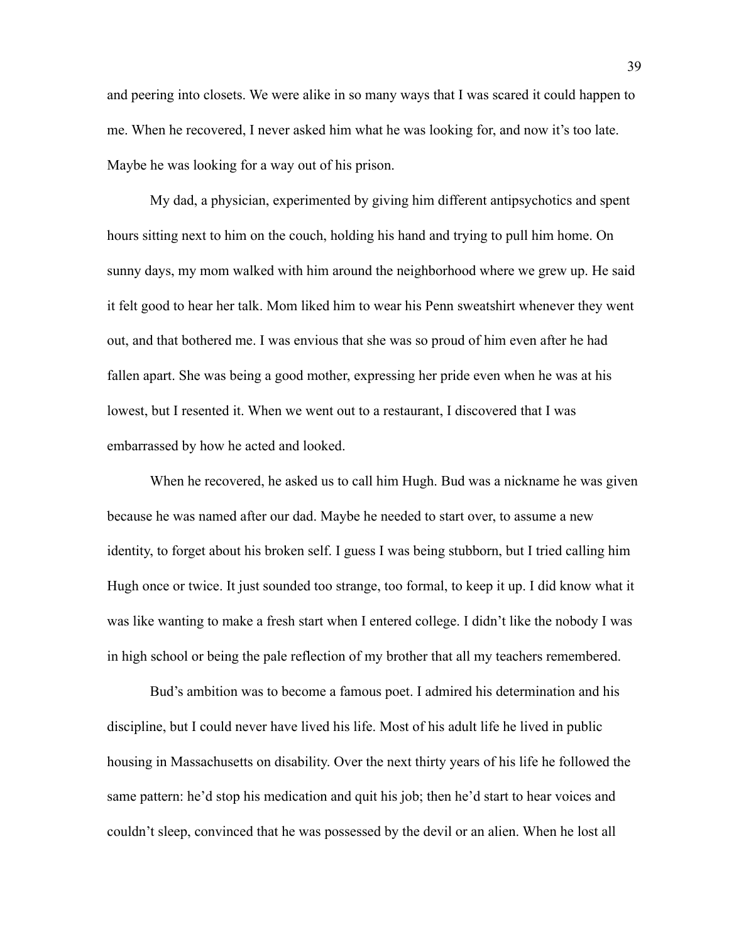and peering into closets. We were alike in so many ways that I was scared it could happen to me. When he recovered, I never asked him what he was looking for, and now it's too late. Maybe he was looking for a way out of his prison.

My dad, a physician, experimented by giving him different antipsychotics and spent hours sitting next to him on the couch, holding his hand and trying to pull him home. On sunny days, my mom walked with him around the neighborhood where we grew up. He said it felt good to hear her talk. Mom liked him to wear his Penn sweatshirt whenever they went out, and that bothered me. I was envious that she was so proud of him even after he had fallen apart. She was being a good mother, expressing her pride even when he was at his lowest, but I resented it. When we went out to a restaurant, I discovered that I was embarrassed by how he acted and looked.

When he recovered, he asked us to call him Hugh. Bud was a nickname he was given because he was named after our dad. Maybe he needed to start over, to assume a new identity, to forget about his broken self. I guess I was being stubborn, but I tried calling him Hugh once or twice. It just sounded too strange, too formal, to keep it up. I did know what it was like wanting to make a fresh start when I entered college. I didn't like the nobody I was in high school or being the pale reflection of my brother that all my teachers remembered.

Bud's ambition was to become a famous poet. I admired his determination and his discipline, but I could never have lived his life. Most of his adult life he lived in public housing in Massachusetts on disability. Over the next thirty years of his life he followed the same pattern: he'd stop his medication and quit his job; then he'd start to hear voices and couldn't sleep, convinced that he was possessed by the devil or an alien. When he lost all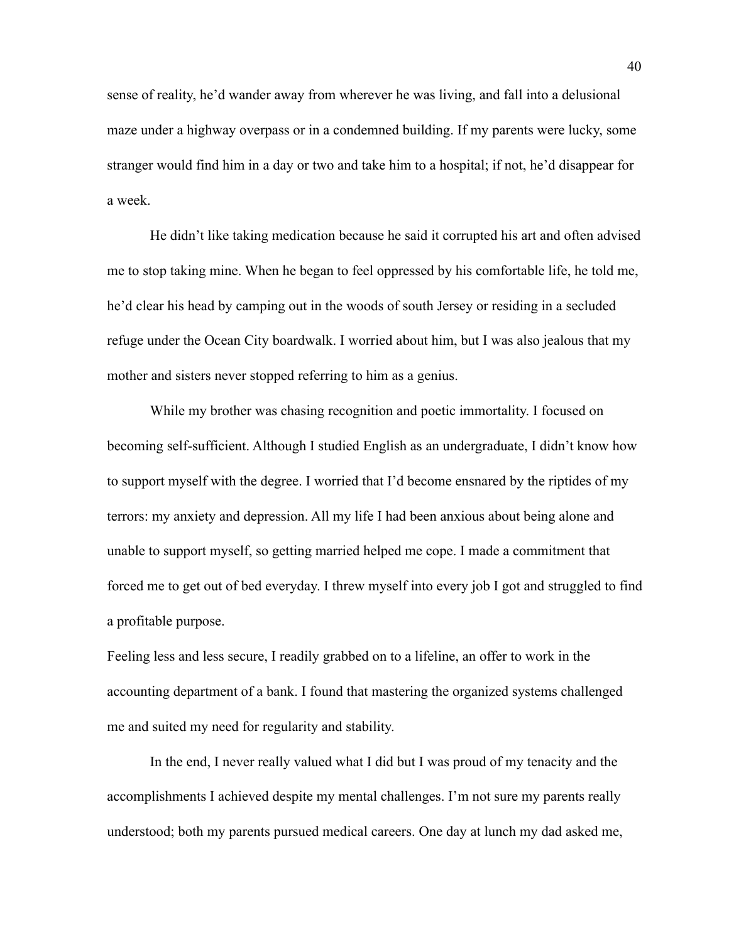sense of reality, he'd wander away from wherever he was living, and fall into a delusional maze under a highway overpass or in a condemned building. If my parents were lucky, some stranger would find him in a day or two and take him to a hospital; if not, he'd disappear for a week.

He didn't like taking medication because he said it corrupted his art and often advised me to stop taking mine. When he began to feel oppressed by his comfortable life, he told me, he'd clear his head by camping out in the woods of south Jersey or residing in a secluded refuge under the Ocean City boardwalk. I worried about him, but I was also jealous that my mother and sisters never stopped referring to him as a genius.

While my brother was chasing recognition and poetic immortality. I focused on becoming self-sufficient. Although I studied English as an undergraduate, I didn't know how to support myself with the degree. I worried that I'd become ensnared by the riptides of my terrors: my anxiety and depression. All my life I had been anxious about being alone and unable to support myself, so getting married helped me cope. I made a commitment that forced me to get out of bed everyday. I threw myself into every job I got and struggled to find a profitable purpose.

Feeling less and less secure, I readily grabbed on to a lifeline, an offer to work in the accounting department of a bank. I found that mastering the organized systems challenged me and suited my need for regularity and stability.

In the end, I never really valued what I did but I was proud of my tenacity and the accomplishments I achieved despite my mental challenges. I'm not sure my parents really understood; both my parents pursued medical careers. One day at lunch my dad asked me,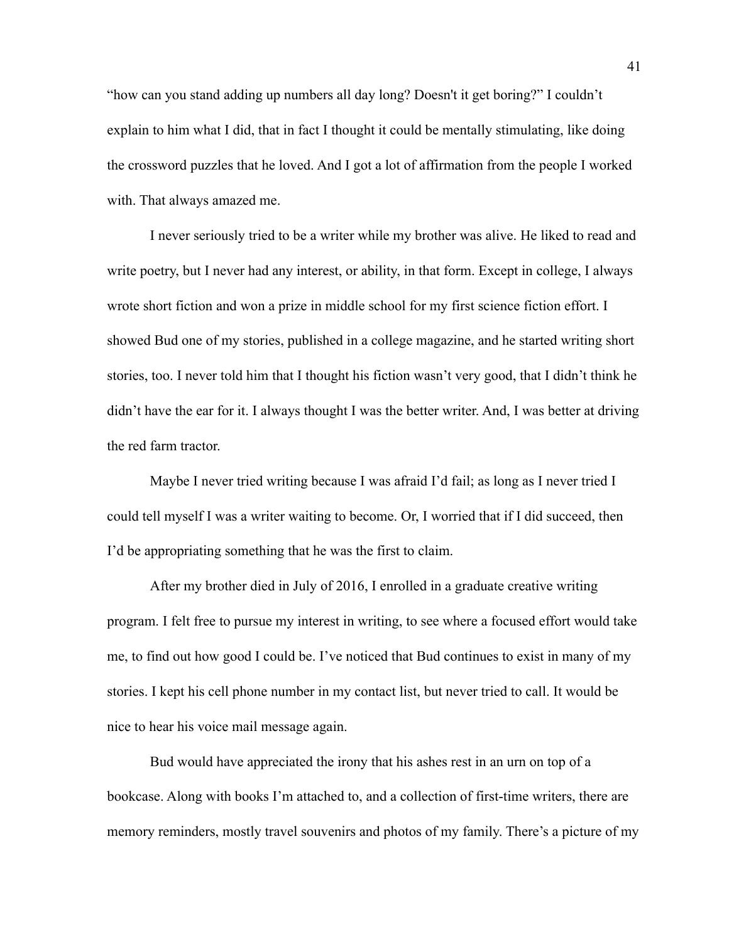"how can you stand adding up numbers all day long? Doesn't it get boring?" I couldn't explain to him what I did, that in fact I thought it could be mentally stimulating, like doing the crossword puzzles that he loved. And I got a lot of affirmation from the people I worked with. That always amazed me.

I never seriously tried to be a writer while my brother was alive. He liked to read and write poetry, but I never had any interest, or ability, in that form. Except in college, I always wrote short fiction and won a prize in middle school for my first science fiction effort. I showed Bud one of my stories, published in a college magazine, and he started writing short stories, too. I never told him that I thought his fiction wasn't very good, that I didn't think he didn't have the ear for it. I always thought I was the better writer. And, I was better at driving the red farm tractor.

Maybe I never tried writing because I was afraid I'd fail; as long as I never tried I could tell myself I was a writer waiting to become. Or, I worried that if I did succeed, then I'd be appropriating something that he was the first to claim.

After my brother died in July of 2016, I enrolled in a graduate creative writing program. I felt free to pursue my interest in writing, to see where a focused effort would take me, to find out how good I could be. I've noticed that Bud continues to exist in many of my stories. I kept his cell phone number in my contact list, but never tried to call. It would be nice to hear his voice mail message again.

Bud would have appreciated the irony that his ashes rest in an urn on top of a bookcase. Along with books I'm attached to, and a collection of first-time writers, there are memory reminders, mostly travel souvenirs and photos of my family. There's a picture of my